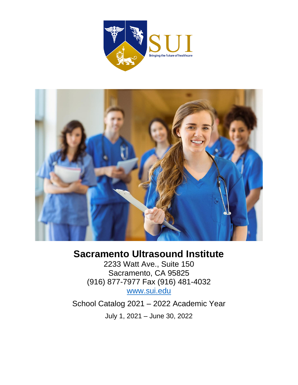



# **Sacramento Ultrasound Institute**

2233 Watt Ave., Suite 150 Sacramento, CA 95825 (916) 877-7977 Fax (916) 481-4032 [www.sui.edu](http://www.sui.edu/)

School Catalog 2021 – 2022 Academic Year July 1, 2021 – June 30, 2022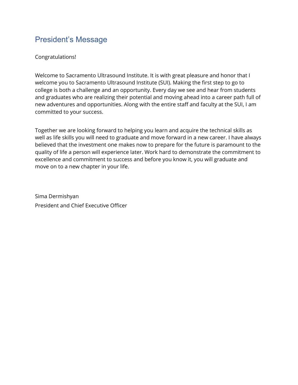# <span id="page-4-0"></span>President's Message

#### Congratulations!

Welcome to Sacramento Ultrasound Institute. It is with great pleasure and honor that I welcome you to Sacramento Ultrasound Institute (SUI). Making the first step to go to college is both a challenge and an opportunity. Every day we see and hear from students and graduates who are realizing their potential and moving ahead into a career path full of new adventures and opportunities. Along with the entire staff and faculty at the SUI, I am committed to your success.

Together we are looking forward to helping you learn and acquire the technical skills as well as life skills you will need to graduate and move forward in a new career. I have always believed that the investment one makes now to prepare for the future is paramount to the quality of life a person will experience later. Work hard to demonstrate the commitment to excellence and commitment to success and before you know it, you will graduate and move on to a new chapter in your life.

Sima Dermishyan President and Chief Executive Officer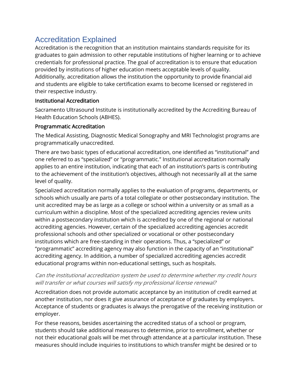# <span id="page-5-0"></span>Accreditation Explained

Accreditation is the recognition that an institution maintains standards requisite for its graduates to gain admission to other reputable institutions of higher learning or to achieve credentials for professional practice. The goal of accreditation is to ensure that education provided by institutions of higher education meets acceptable levels of quality. Additionally, accreditation allows the institution the opportunity to provide financial aid and students are eligible to take certification exams to become licensed or registered in their respective industry.

#### Institutional Accreditation

Sacramento Ultrasound Institute is institutionally accredited by the Accrediting Bureau of Health Education Schools (ABHES).

#### Programmatic Accreditation

The Medical Assisting, Diagnostic Medical Sonography and MRI Technologist programs are programmatically unaccredited.

There are two basic types of educational accreditation, one identified as "institutional" and one referred to as "specialized" or "programmatic." Institutional accreditation normally applies to an entire institution, indicating that each of an institution's parts is contributing to the achievement of the institution's objectives, although not necessarily all at the same level of quality.

Specialized accreditation normally applies to the evaluation of programs, departments, or schools which usually are parts of a total collegiate or other postsecondary institution. The unit accredited may be as large as a college or school within a university or as small as a curriculum within a discipline. Most of the specialized accrediting agencies review units within a postsecondary institution which is accredited by one of the regional or national accrediting agencies. However, certain of the specialized accrediting agencies accredit professional schools and other specialized or vocational or other postsecondary institutions which are free-standing in their operations. Thus, a "specialized" or "programmatic" accrediting agency may also function in the capacity of an "institutional" accrediting agency. In addition, a number of specialized accrediting agencies accredit educational programs within non-educational settings, such as hospitals.

#### Can the institutional accreditation system be used to determine whether my credit hours will transfer or what courses will satisfy my professional license renewal?

Accreditation does not provide automatic acceptance by an institution of credit earned at another institution, nor does it give assurance of acceptance of graduates by employers. Acceptance of students or graduates is always the prerogative of the receiving institution or employer.

For these reasons, besides ascertaining the accredited status of a school or program, students should take additional measures to determine, prior to enrollment, whether or not their educational goals will be met through attendance at a particular institution. These measures should include inquiries to institutions to which transfer might be desired or to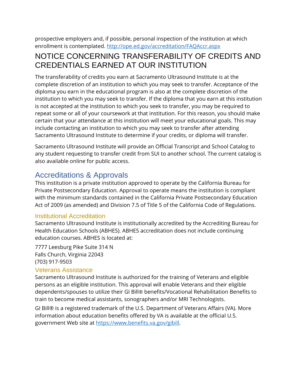prospective employers and, if possible, personal inspection of the institution at which enrollment is contemplated.<http://ope.ed.gov/accreditation/FAQAccr.aspx>

# NOTICE CONCERNING TRANSFERABILITY OF CREDITS AND CREDENTIALS EARNED AT OUR INSTITUTION

The transferability of credits you earn at Sacramento Ultrasound Institute is at the complete discretion of an institution to which you may seek to transfer. Acceptance of the diploma you earn in the educational program is also at the complete discretion of the institution to which you may seek to transfer. If the diploma that you earn at this institution is not accepted at the institution to which you seek to transfer, you may be required to repeat some or all of your coursework at that institution. For this reason, you should make certain that your attendance at this institution will meet your educational goals. This may include contacting an institution to which you may seek to transfer after attending Sacramento Ultrasound Institute to determine if your credits, or diploma will transfer.

Sacramento Ultrasound Institute will provide an Official Transcript and School Catalog to any student requesting to transfer credit from SUI to another school. The current catalog is also available online for public access.

# <span id="page-6-0"></span>Accreditations & Approvals

This institution is a private institution approved to operate by the California Bureau for Private Postsecondary Education. Approval to operate means the institution is compliant with the minimum standards contained in the California Private Postsecondary Education Act of 2009 (as amended) and Division 7.5 of Title 5 of the California Code of Regulations.

## <span id="page-6-1"></span>Institutional Accreditation

Sacramento Ultrasound Institute is institutionally accredited by the Accrediting Bureau for Health Education Schools (ABHES). ABHES accreditation does not include continuing education courses. ABHES is located at:

7777 Leesburg Pike Suite 314 N Falls Church, Virginia 22043 (703) 917-9503

### <span id="page-6-2"></span>Veterans Assistance

Sacramento Ultrasound Institute is authorized for the training of Veterans and eligible persons as an eligible institution. This approval will enable Veterans and their eligible dependents/spouses to utilize their GI Bill® benefits/Vocational Rehabilitation Benefits to train to become medical assistants, sonographers and/or MRI Technologists.

GI Bill® is a registered trademark of the U.S. Department of Veterans Affairs (VA). More information about education benefits offered by VA is available at the official U.S. government Web site at [https://www.benefits.va.gov/gibill.](https://www.benefits.va.gov/gibill)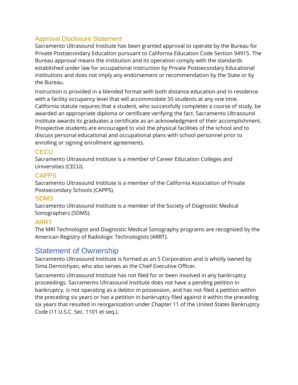## <span id="page-7-0"></span>Approval Disclosure Statement

Sacramento Ultrasound Institute has been granted approval to operate by the Bureau for Private Postsecondary Education pursuant to California Education Code Section 94915. The Bureau approval means the institution and its operation comply with the standards established under law for occupational instruction by Private Postsecondary Educational institutions and does not imply any endorsement or recommendation by the State or by the Bureau.

Instruction is provided in a blended format with both distance education and in residence with a facility occupancy level that will accommodate 50 students at any one time. California statute requires that a student, who successfully completes a course of study, be awarded an appropriate diploma or certificate verifying the fact. Sacramento Ultrasound Institute awards its graduates a certificate as an acknowledgment of their accomplishment. Prospective students are encouraged to visit the physical facilities of the school and to discuss personal educational and occupational plans with school personnel prior to enrolling or signing enrollment agreements.

### **CECU**

Sacramento Ultrasound institute is a member of Career Education Colleges and Universities (CECU).

#### **CAPPS**

Sacramento Ultrasound Institute is a member of the California Association of Private Postsecondary Schools (CAPPS).

### **SDMS**

Sacramento Ultrasound Institute is a member of the Society of Diagnostic Medical Sonographers (SDMS).

## ARRT

The MRI Technologist and Diagnostic Medical Sonography programs are recognized by the American Registry of Radiologic Technologists (ARRT).

# <span id="page-7-1"></span>Statement of Ownership

Sacramento Ultrasound Institute is formed as an S Corporation and is wholly owned by Sima Dermishyan, who also serves as the Chief Executive Officer.

Sacramento Ultrasound Institute has not filed for or been involved in any bankruptcy proceedings. Sacramento Ultrasound Institute does not have a pending petition in bankruptcy, is not operating as a debtor in possession, and has not filed a petition within the preceding six years or has a petition in bankruptcy filed against it within the preceding six years that resulted in reorganization under Chapter 11 of the United States Bankruptcy Code (11 U.S.C. Sec. 1101 et seq.).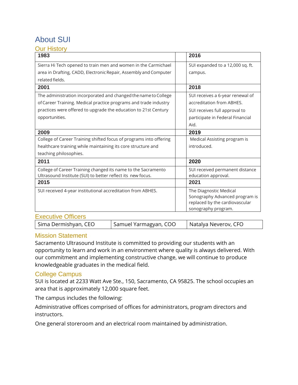### <span id="page-8-0"></span>About SUI Our History

<span id="page-8-1"></span>

| ע ושטור ו ווט<br>1983                                              | 2016                             |
|--------------------------------------------------------------------|----------------------------------|
| Sierra Hi Tech opened to train men and women in the Carmichael     | SUI expanded to a 12,000 sq. ft. |
| area in Drafting, CADD, Electronic Repair, Assembly and Computer   | campus.                          |
| related fields.                                                    |                                  |
| 2001                                                               | 2018                             |
| The administration incorporated and changed the name to College    | SUI receives a 6-year renewal of |
| of Career Training. Medical practice programs and trade industry   | accreditation from ABHES.        |
| practices were offered to upgrade the education to 21st Century    | SUI receives full approval to    |
| opportunities.                                                     | participate in Federal Financial |
|                                                                    | Aid.                             |
| 2009                                                               | 2019                             |
| College of Career Training shifted focus of programs into offering | Medical Assisting program is     |
| healthcare training while maintaining its core structure and       | introduced.                      |
| teaching philosophies.                                             |                                  |
| 2011                                                               | 2020                             |
| College of Career Training changed its name to the Sacramento      | SUI received permanent distance  |
| Ultrasound Institute (SUI) to better reflect its new focus.        | education approval.              |
| 2015                                                               | 2021                             |
| SUI received 4-year institutional accreditation from ABHES.        | The Diagnostic Medical           |
|                                                                    | Sonography Advanced program is   |
|                                                                    | replaced by the cardiovascular   |
|                                                                    | sonography program.              |
| <b>Executive Officers</b>                                          |                                  |

<span id="page-8-2"></span>Sima Dermishyan, CEO Samuel Yarmagyan, COO Samatalya Neverov, CFO

#### <span id="page-8-3"></span>Mission Statement

Sacramento Ultrasound Institute is committed to providing our students with an opportunity to learn and work in an environment where quality is always delivered. With our commitment and implementing constructive change, we will continue to produce knowledgeable graduates in the medical field.

#### <span id="page-8-4"></span>College Campus

SUI is located at 2233 Watt Ave Ste., 150, Sacramento, CA 95825. The school occupies an area that is approximately 12,000 square feet.

The campus includes the following:

Administrative offices comprised of offices for administrators, program directors and instructors.

One general storeroom and an electrical room maintained by administration.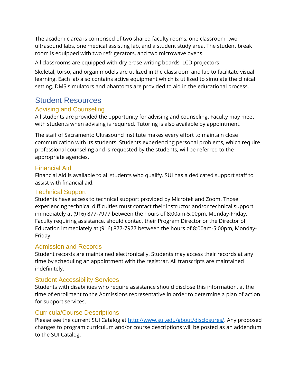The academic area is comprised of two shared faculty rooms, one classroom, two ultrasound labs, one medical assisting lab, and a student study area. The student break room is equipped with two refrigerators, and two microwave ovens.

All classrooms are equipped with dry erase writing boards, LCD projectors.

Skeletal, torso, and organ models are utilized in the classroom and lab to facilitate visual learning. Each lab also contains active equipment which is utilized to simulate the clinical setting. DMS simulators and phantoms are provided to aid in the educational process.

## <span id="page-9-0"></span>Student Resources

#### Advising and Counseling

All students are provided the opportunity for advising and counseling. Faculty may meet with students when advising is required. Tutoring is also available by appointment.

The staff of Sacramento Ultrasound Institute makes every effort to maintain close communication with its students. Students experiencing personal problems, which require professional counseling and is requested by the students, will be referred to the appropriate agencies.

#### Financial Aid

Financial Aid is available to all students who qualify. SUI has a dedicated support staff to assist with financial aid.

#### Technical Support

Students have access to technical support provided by Microtek and Zoom. Those experiencing technical difficulties must contact their instructor and/or technical support immediately at (916) 877-7977 between the hours of 8:00am-5:00pm, Monday-Friday. Faculty requiring assistance, should contact their Program Director or the Director of Education immediately at (916) 877-7977 between the hours of 8:00am-5:00pm, Monday-Friday.

#### Admission and Records

Student records are maintained electronically. Students may access their records at any time by scheduling an appointment with the registrar. All transcripts are maintained indefinitely.

#### Student Accessibility Services

Students with disabilities who require assistance should disclose this information, at the time of enrollment to the Admissions representative in order to determine a plan of action for support services.

#### Curricula/Course Descriptions

Please see the current SUI Catalog at [http://www.sui.edu/about/disclosures/.](http://www.sui.edu/about/disclosures/) Any proposed changes to program curriculum and/or course descriptions will be posted as an addendum to the SUI Catalog.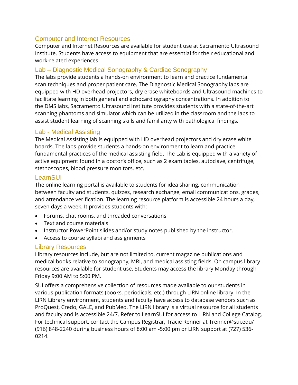### Computer and Internet Resources

Computer and Internet Resources are available for student use at Sacramento Ultrasound Institute. Students have access to equipment that are essential for their educational and work-related experiences.

## Lab – Diagnostic Medical Sonography & Cardiac Sonography

The labs provide students a hands-on environment to learn and practice fundamental scan techniques and proper patient care. The Diagnostic Medical Sonography labs are equipped with HD overhead projectors, dry erase whiteboards and Ultrasound machines to facilitate learning in both general and echocardiography concentrations. In addition to the DMS labs, Sacramento Ultrasound Institute provides students with a state-of-the-art scanning phantoms and simulator which can be utilized in the classroom and the labs to assist student learning of scanning skills and familiarity with pathological findings.

### Lab - Medical Assisting

The Medical Assisting lab is equipped with HD overhead projectors and dry erase white boards. The labs provide students a hands-on environment to learn and practice fundamental practices of the medical assisting field. The Lab is equipped with a variety of active equipment found in a doctor's office, such as 2 exam tables, autoclave, centrifuge, stethoscopes, blood pressure monitors, etc.

### **LearnSUI**

The online learning portal is available to students for idea sharing, communication between faculty and students, quizzes, research exchange, email communications, grades, and attendance verification. The learning resource platform is accessible 24 hours a day, seven days a week. It provides students with:

- Forums, chat rooms, and threaded conversations
- Text and course materials
- Instructor PowerPoint slides and/or study notes published by the instructor.
- Access to course syllabi and assignments

## Library Resources

Library resources include, but are not limited to, current magazine publications and medical books relative to sonography, MRI, and medical assisting fields. On campus library resources are available for student use. Students may access the library Monday through Friday 9:00 AM to 5:00 PM.

SUI offers a comprehensive collection of resources made available to our students in various publication formats (books, periodicals, etc.) through LIRN online library. In the LIRN Library environment, students and faculty have access to database vendors such as ProQuest, Credo, GALE, and PubMed. The LIRN library is a virtual resource for all students and faculty and is accessible 24/7. Refer to LearnSUI for access to LIRN and College Catalog. For technical support, contact the Campus Registrar, Tracie Renner at [Trenner@sui.edu/](mailto:Trenner@sui.edu) (916) 848-2240 during business hours of 8:00 am -5:00 pm or LIRN support at (727) 536- 0214.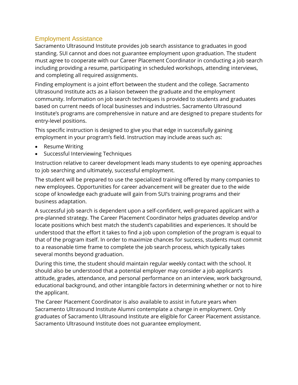#### <span id="page-11-0"></span>Employment Assistance

Sacramento Ultrasound Institute provides job search assistance to graduates in good standing. SUI cannot and does not guarantee employment upon graduation. The student must agree to cooperate with our Career Placement Coordinator in conducting a job search including providing a resume, participating in scheduled workshops, attending interviews, and completing all required assignments.

Finding employment is a joint effort between the student and the college. Sacramento Ultrasound Institute acts as a liaison between the graduate and the employment community. Information on job search techniques is provided to students and graduates based on current needs of local businesses and industries. Sacramento Ultrasound Institute's programs are comprehensive in nature and are designed to prepare students for entry-level positions.

This specific instruction is designed to give you that edge in successfully gaining employment in your program's field. Instruction may include areas such as:

- Resume Writing
- Successful Interviewing Techniques

Instruction relative to career development leads many students to eye opening approaches to job searching and ultimately, successful employment.

The student will be prepared to use the specialized training offered by many companies to new employees. Opportunities for career advancement will be greater due to the wide scope of knowledge each graduate will gain from SUI's training programs and their business adaptation.

A successful job search is dependent upon a self-confident, well-prepared applicant with a pre-planned strategy. The Career Placement Coordinator helps graduates develop and/or locate positions which best match the student's capabilities and experiences. It should be understood that the effort it takes to find a job upon completion of the program is equal to that of the program itself. In order to maximize chances for success, students must commit to a reasonable time frame to complete the job search process, which typically takes several months beyond graduation.

During this time, the student should maintain regular weekly contact with the school. It should also be understood that a potential employer may consider a job applicant's attitude, grades, attendance, and personal performance on an interview, work background, educational background, and other intangible factors in determining whether or not to hire the applicant.

The Career Placement Coordinator is also available to assist in future years when Sacramento Ultrasound Institute Alumni contemplate a change in employment. Only graduates of Sacramento Ultrasound Institute are eligible for Career Placement assistance. Sacramento Ultrasound Institute does not guarantee employment.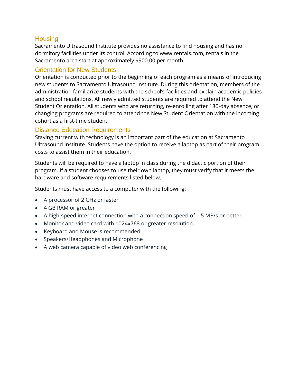### **Housing**

Sacramento Ultrasound Institute provides no assistance to find housing and has no dormitory facilities under its control. According to www.rentals.com, rentals in the Sacramento area start at approximately \$900.00 per month.

## Orientation for New Students

Orientation is conducted prior to the beginning of each program as a means of introducing new students to Sacramento Ultrasound Institute. During this orientation, members of the administration familiarize students with the school's facilities and explain academic policies and school regulations. All newly admitted students are required to attend the New Student Orientation. All students who are returning, re-enrolling after 180-day absence, or changing programs are required to attend the New Student Orientation with the incoming cohort as a first-time student.

### <span id="page-12-0"></span>Distance Education Requirements

Staying current with technology is an important part of the education at Sacramento Ultrasound Institute. Students have the option to receive a laptop as part of their program costs to assist them in their education.

Students will be required to have a laptop in class during the didactic portion of their program. If a student chooses to use their own laptop, they must verify that it meets the hardware and software requirements listed below.

Students must have access to a computer with the following:

- A processor of 2 GHz or faster
- 4 GB RAM or greater
- A high-speed internet connection with a connection speed of 1.5 MB/s or better.
- Monitor and video card with 1024x768 or greater resolution.
- Keyboard and Mouse is recommended
- Speakers/Headphones and Microphone
- A web camera capable of video web conferencing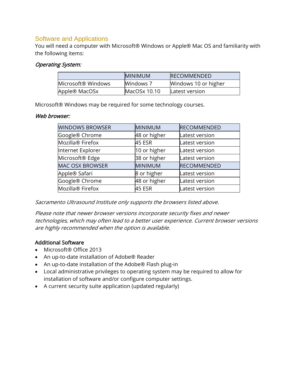#### Software and Applications

You will need a computer with Microsoft® Windows or Apple® Mac OS and familiarity with the following items:

#### Operating System:

|                    | <b>IMINIMUM</b> | <b>IRECOMMENDED</b>  |
|--------------------|-----------------|----------------------|
| Microsoft® Windows | Windows 7       | Windows 10 or higher |
| Apple® MacOSx      | MacOSx 10.10    | Latest version       |

Microsoft® Windows may be required for some technology courses.

#### Web browser:

| <b>WINDOWS BROWSER</b>       | <b>MINIMUM</b> | <b>RECOMMENDED</b> |
|------------------------------|----------------|--------------------|
| Google® Chrome               | 48 or higher   | Latest version     |
| Mozilla <sup>®</sup> Firefox | <b>45 ESR</b>  | Latest version     |
| Internet Explorer            | 10 or higher   | Latest version     |
| Microsoft <sup>®</sup> Edge  | 38 or higher   | Latest version     |
| <b>MAC OSX BROWSER</b>       | MINIMUM        | <b>RECOMMENDED</b> |
| Apple® Safari                | 8 or higher    | Latest version     |
| Google® Chrome               | 48 or higher   | Latest version     |
| Mozilla <sup>®</sup> Firefox | 45 ESR         | Latest version     |

Sacramento Ultrasound Institute only supports the browsers listed above.

Please note that newer browser versions incorporate security fixes and newer technologies, which may often lead to a better user experience. Current browser versions are highly recommended when the option is available.

#### Additional Software

- Microsoft® Office 2013
- An up-to-date installation of Adobe® Reader
- An up-to-date installation of the Adobe® Flash plug-in
- Local administrative privileges to operating system may be required to allow for installation of software and/or configure computer settings.
- A current security suite application (updated regularly)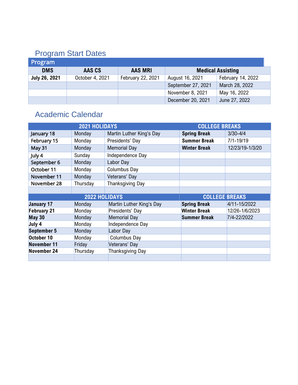# <span id="page-14-0"></span>Program Start Dates

| <b>Program</b>       |                 |                   |                    |                          |  |
|----------------------|-----------------|-------------------|--------------------|--------------------------|--|
| <b>DMS</b>           | AAS CS          | <b>AAS MRI</b>    |                    | <b>Medical Assisting</b> |  |
| <b>July 26, 2021</b> | October 4, 2021 | February 22, 2021 | August 16, 2021    | February 14, 2022        |  |
|                      |                 |                   | September 27, 2021 | March 28, 2022           |  |
|                      |                 |                   | November 8, 2021   | May 16, 2022             |  |
|                      |                 |                   | December 20, 2021  | June 27, 2022            |  |

# <span id="page-14-1"></span>Academic Calendar

| 2021 HOLIDAYS      |          |                                        | <b>COLLEGE BREAKS</b> |                 |
|--------------------|----------|----------------------------------------|-----------------------|-----------------|
| January 18         | Monday   | Martin Luther King's Day               | <b>Spring Break</b>   | $3/30 - 4/4$    |
| February 15        | Monday   | <b>Summer Break</b><br>Presidents' Day |                       | $7/1 - 19/19$   |
| May 31             | Monday   | <b>Memorial Day</b>                    | <b>Winter Break</b>   | 12/23/19-1/3/20 |
| July 4             | Sunday   | Independence Day                       |                       |                 |
| September 6        | Monday   | Labor Day                              |                       |                 |
| October 11         | Monday   | <b>Columbus Day</b>                    |                       |                 |
| November 11        | Monday   | Veterans' Day                          |                       |                 |
| November 28        | Thursday | <b>Thanksgiving Day</b>                |                       |                 |
|                    |          |                                        |                       |                 |
| 2022 HOLIDAYS      |          | <b>COLLEGE BREAKS</b>                  |                       |                 |
| <b>January 17</b>  | Monday   | Martin Luther King's Day               | <b>Spring Break</b>   | 4/11-15/2022    |
| <b>February 21</b> | Monday   | Presidents' Day                        | <b>Winter Break</b>   | 12/26-1/6/2023  |
| <b>May 30</b>      | Monday   | <b>Memorial Day</b>                    | <b>Summer Break</b>   | 7/4-22/2022     |
| July 4             | Monday   | Independence Day                       |                       |                 |
| <b>September 5</b> | Monday   | Labor Day                              |                       |                 |
| October 10         | Monday   | <b>Columbus Day</b>                    |                       |                 |
| November 11        | Friday   | Veterans' Day                          |                       |                 |
| November 24        |          |                                        |                       |                 |
|                    | Thursday | Thanksgiving Day                       |                       |                 |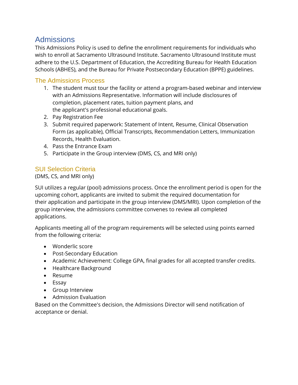## <span id="page-15-0"></span>**Admissions**

This Admissions Policy is used to define the enrollment requirements for individuals who wish to enroll at Sacramento Ultrasound Institute. Sacramento Ultrasound Institute must adhere to the U.S. Department of Education, the Accrediting Bureau for Health Education Schools (ABHES), and the Bureau for Private Postsecondary Education (BPPE) guidelines.

#### <span id="page-15-1"></span>The Admissions Process

- 1. The student must tour the facility or attend a program-based webinar and interview with an Admissions Representative. Information will include disclosures of completion, placement rates, tuition payment plans, and the applicant's professional educational goals.
- 2. Pay Registration Fee
- 3. Submit required paperwork: Statement of Intent, Resume, Clinical Observation Form (as applicable), Official Transcripts, Recommendation Letters, Immunization Records, Health Evaluation.
- 4. Pass the Entrance Exam
- 5. Participate in the Group interview (DMS, CS, and MRI only)

#### <span id="page-15-2"></span>SUI Selection Criteria

(DMS, CS, and MRI only)

SUI utilizes a regular (pool) admissions process. Once the enrollment period is open for the upcoming cohort, applicants are invited to submit the required documentation for their application and participate in the group interview (DMS/MRI). Upon completion of the group interview, the admissions committee convenes to review all completed applications.

Applicants meeting all of the program requirements will be selected using points earned from the following criteria:

- Wonderlic score
- Post-Secondary Education
- Academic Achievement: College GPA, final grades for all accepted transfer credits.
- Healthcare Background
- Resume
- Essay
- Group Interview
- Admission Evaluation

Based on the Committee's decision, the Admissions Director will send notification of acceptance or denial.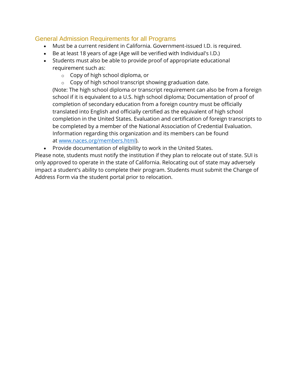### <span id="page-16-0"></span>General Admission Requirements for all Programs

- Must be a current resident in California. Government-issued I.D. is required.
- Be at least 18 years of age (Age will be verified with Individual's I.D.)
- Students must also be able to provide proof of appropriate educational requirement such as:
	- o Copy of high school diploma, or
	- $\circ$  Copy of high school transcript showing graduation date.

(Note: The high school diploma or transcript requirement can also be from a foreign school if it is equivalent to a U.S. high school diploma; Documentation of proof of completion of secondary education from a foreign country must be officially translated into English and officially certified as the equivalent of high school completion in the United States. Evaluation and certification of foreign transcripts to be completed by a member of the National Association of Credential Evaluation. Information regarding this organization and its members can be found at [www.naces.org/members.html\)](http://www.naces.org/members.html).

• Provide documentation of eligibility to work in the United States.

Please note, students must notify the institution if they plan to relocate out of state. SUI is only approved to operate in the state of California. Relocating out of state may adversely impact a student's ability to complete their program. Students must submit the Change of Address Form via the student portal prior to relocation.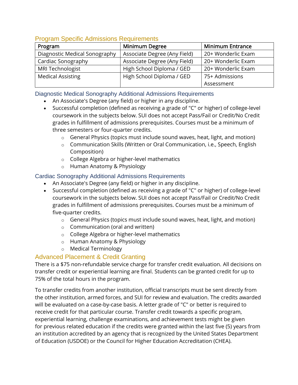| <u>Libyrain Opeenic Auniissions Requirements</u> |                              |                         |  |  |  |  |
|--------------------------------------------------|------------------------------|-------------------------|--|--|--|--|
| Program                                          | <b>Minimum Degree</b>        | <b>Minimum Entrance</b> |  |  |  |  |
| Diagnostic Medical Sonography                    | Associate Degree (Any Field) | 20+ Wonderlic Exam      |  |  |  |  |
| Cardiac Sonography                               | Associate Degree (Any Field) | 20+ Wonderlic Exam      |  |  |  |  |
| MRI Technologist                                 | High School Diploma / GED    | 20+ Wonderlic Exam      |  |  |  |  |
| <b>Medical Assisting</b>                         | High School Diploma / GED    | 75+ Admissions          |  |  |  |  |
|                                                  |                              | Assessment              |  |  |  |  |

#### <span id="page-17-0"></span>Program Specific Admissions Requirements

#### Diagnostic Medical Sonography Additional Admissions Requirements

- An Associate's Degree (any field) or higher in any discipline.
- Successful completion (defined as receiving a grade of "C" or higher) of college-level coursework in the subjects below. SUI does not accept Pass/Fail or Credit/No Credit grades in fulfillment of admissions prerequisites. Courses must be a minimum of three semesters or four-quarter credits.
	- o General Physics (topics must include sound waves, heat, light, and motion)
	- o Communication Skills (Written or Oral Communication, i.e., Speech, English Composition)
	- o College Algebra or higher-level mathematics
	- o Human Anatomy & Physiology

#### Cardiac Sonography Additional Admissions Requirements

- An Associate's Degree (any field) or higher in any discipline.
- Successful completion (defined as receiving a grade of "C" or higher) of college-level coursework in the subjects below. SUI does not accept Pass/Fail or Credit/No Credit grades in fulfillment of admissions prerequisites. Courses must be a minimum of five-quarter credits.
	- o General Physics (topics must include sound waves, heat, light, and motion)
	- o Communication (oral and written)
	- o College Algebra or higher-level mathematics
	- o Human Anatomy & Physiology
	- o Medical Terminology

#### <span id="page-17-1"></span>Advanced Placement & Credit Granting

There is a \$75 non-refundable service charge for transfer credit evaluation. All decisions on transfer credit or experiential learning are final. Students can be granted credit for up to 75% of the total hours in the program.

To transfer credits from another institution, official transcripts must be sent directly from the other institution, armed forces, and SUI for review and evaluation. The credits awarded will be evaluated on a case-by-case basis. A letter grade of "C" or better is required to receive credit for that particular course. Transfer credit towards a specific program, experiential learning, challenge examinations, and achievement tests might be given for previous related education if the credits were granted within the last five (5) years from an institution accredited by an agency that is recognized by the United States Department of Education (USDOE) or the Council for Higher Education Accreditation (CHEA).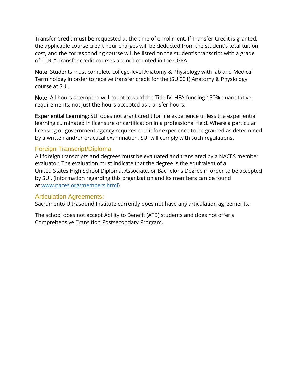Transfer Credit must be requested at the time of enrollment. If Transfer Credit is granted, the applicable course credit hour charges will be deducted from the student's total tuition cost, and the corresponding course will be listed on the student's transcript with a grade of "T.R.." Transfer credit courses are not counted in the CGPA.

Note: Students must complete college-level Anatomy & Physiology with lab and Medical Terminology in order to receive transfer credit for the (SUI001) Anatomy & Physiology course at SUI.

Note: All hours attempted will count toward the Title IV, HEA funding 150% quantitative requirements, not just the hours accepted as transfer hours.

Experiential Learning: SUI does not grant credit for life experience unless the experiential learning culminated in licensure or certification in a professional field. Where a particular licensing or government agency requires credit for experience to be granted as determined by a written and/or practical examination, SUI will comply with such regulations.

#### <span id="page-18-0"></span>Foreign Transcript/Diploma

All foreign transcripts and degrees must be evaluated and translated by a NACES member evaluator. The evaluation must indicate that the degree is the equivalent of a United States High School Diploma, Associate, or Bachelor's Degree in order to be accepted by SUI. (Information regarding this organization and its members can be found at [www.naces.org/members.html\)](http://www.naces.org/members.html)

#### <span id="page-18-1"></span>Articulation Agreements:

Sacramento Ultrasound Institute currently does not have any articulation agreements.

The school does not accept Ability to Benefit (ATB) students and does not offer a Comprehensive Transition Postsecondary Program.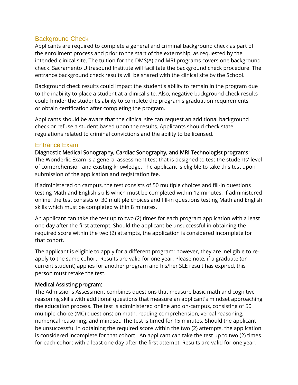#### <span id="page-19-0"></span>Background Check

Applicants are required to complete a general and criminal background check as part of the enrollment process and prior to the start of the externship, as requested by the intended clinical site. The tuition for the DMS(A) and MRI programs covers one background check. Sacramento Ultrasound Institute will facilitate the background check procedure. The entrance background check results will be shared with the clinical site by the School.

Background check results could impact the student's ability to remain in the program due to the inability to place a student at a clinical site. Also, negative background check results could hinder the student's ability to complete the program's graduation requirements or obtain certification after completing the program.

Applicants should be aware that the clinical site can request an additional background check or refuse a student based upon the results. Applicants should check state regulations related to criminal convictions and the ability to be licensed.

#### Entrance Exam

Diagnostic Medical Sonography, Cardiac Sonography, and MRI Technologist programs: The Wonderlic Exam is a general assessment test that is designed to test the students' level of comprehension and existing knowledge. The applicant is eligible to take this test upon submission of the application and registration fee.

If administered on campus, the test consists of 50 multiple choices and fill-in questions testing Math and English skills which must be completed within 12 minutes. If administered online, the test consists of 30 multiple choices and fill-in questions testing Math and English skills which must be completed within 8 minutes.

An applicant can take the test up to two (2) times for each program application with a least one day after the first attempt. Should the applicant be unsuccessful in obtaining the required score within the two (2) attempts, the application is considered incomplete for that cohort.

The applicant is eligible to apply for a different program; however, they are ineligible to reapply to the same cohort. Results are valid for one year. Please note, if a graduate (or current student) applies for another program and his/her SLE result has expired, this person must retake the test.

#### Medical Assisting program:

The Admissions Assessment combines questions that measure basic math and cognitive reasoning skills with additional questions that measure an applicant's mindset approaching the education process. The test is administered online and on-campus, consisting of 50 multiple-choice (MC) questions; on math, reading comprehension, verbal reasoning, numerical reasoning, and mindset. The test is timed for 15 minutes. Should the applicant be unsuccessful in obtaining the required score within the two (2) attempts, the application is considered incomplete for that cohort. An applicant can take the test up to two (2) times for each cohort with a least one day after the first attempt. Results are valid for one year.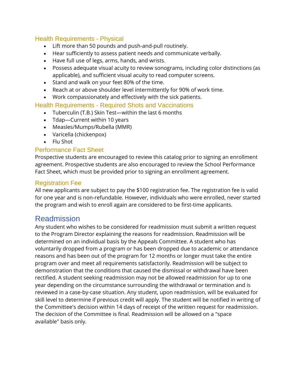#### <span id="page-20-0"></span>Health Requirements - Physical

- Lift more than 50 pounds and push-and-pull routinely.
- Hear sufficiently to assess patient needs and communicate verbally.
- Have full use of legs, arms, hands, and wrists.
- Possess adequate visual acuity to review sonograms, including color distinctions (as applicable), and sufficient visual acuity to read computer screens.
- Stand and walk on your feet 80% of the time.
- Reach at or above shoulder level intermittently for 90% of work time.
- Work compassionately and effectively with the sick patients.

#### Health Requirements - Required Shots and Vaccinations

- Tuberculin (T.B.) Skin Test—within the last 6 months
- Tdap—Current within 10 years
- Measles/Mumps/Rubella (MMR)
- Varicella (chickenpox)
- Flu Shot

#### <span id="page-20-1"></span>Performance Fact Sheet

Prospective students are encouraged to review this catalog prior to signing an enrollment agreement. Prospective students are also encouraged to review the School Performance Fact Sheet, which must be provided prior to signing an enrollment agreement.

#### <span id="page-20-2"></span>Registration Fee

All new applicants are subject to pay the \$100 registration fee. The registration fee is valid for one year and is non-refundable. However, individuals who were enrolled, never started the program and wish to enroll again are considered to be first-time applicants.

## <span id="page-20-3"></span>Readmission

Any student who wishes to be considered for readmission must submit a written request to the Program Director explaining the reasons for readmission. Readmission will be determined on an individual basis by the Appeals Committee. A student who has voluntarily dropped from a program or has been dropped due to academic or attendance reasons and has been out of the program for 12 months or longer must take the entire program over and meet all requirements satisfactorily. Readmission will be subject to demonstration that the conditions that caused the dismissal or withdrawal have been rectified. A student seeking readmission may not be allowed readmission for up to one year depending on the circumstance surrounding the withdrawal or termination and is reviewed in a case-by-case situation. Any student, upon readmission, will be evaluated for skill level to determine if previous credit will apply. The student will be notified in writing of the Committee's decision within 14 days of receipt of the written request for readmission. The decision of the Committee is final. Readmission will be allowed on a "space available" basis only.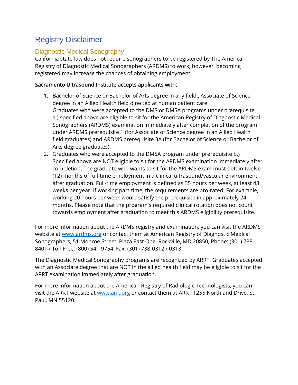# <span id="page-21-0"></span>Registry Disclaimer

## <span id="page-21-1"></span>Diagnostic Medical Sonography

California state law does not require sonographers to be registered by The American Registry of Diagnostic Medical Sonographers (ARDMS) to work; however, becoming registered may increase the chances of obtaining employment.

#### Sacramento Ultrasound Institute accepts applicants with:

- 1. Bachelor of Science or Bachelor of Arts degree in any field., Associate of Science degree in an Allied Health field directed at human patient care. Graduates who were accepted to the DMS or DMSA programs under prerequisite a.) specified above are eligible to sit for the American Registry of Diagnostic Medical Sonographers (ARDMS) examination immediately after completion of the program under ARDMS prerequisite 1 (for Associate of Science degree in an Allied Health field graduates) and ARDMS prerequisite 3A (for Bachelor of Science or Bachelor of Arts degree graduates).
- 2. Graduates who were accepted to the DMSA program under prerequisite b.) Specified above are NOT eligible to sit for the ARDMS examination immediately after completion. The graduate who wants to sit for the ARDMS exam must obtain twelve (12) months of full-time employment in a clinical ultrasound/vascular environment after graduation. Full-time employment is defined as 35 hours per week, at least 48 weeks per year. If working part-time, the requirements are pro-rated. For example, working 20 hours per week would satisfy the prerequisite in approximately 24 months. Please note that the program's required clinical rotation does not count towards employment after graduation to meet this ARDMS eligibility prerequisite.

For more information about the ARDMS registry and examination, you can visit the ARDMS website at [www.ardms.org](file:///C:/Users/Sam/AppData/Roaming/Microsoft/Word/www.ardms.org) or contact them at American Registry of Diagnostic Medical Sonographers, 51 Monroe Street, Plaza East One, Rockville, MD 20850, Phone: (301) 738- 8401 / Toll-Free: (800) 541-9754, Fax: (301) 738-0312 / 0313

The Diagnostic Medical Sonography programs are recognized by ARRT. Graduates accepted with an Associate degree that are NOT in the allied health field may be eligible to sit for the ARRT examination immediately after graduation.

For more information about the American Registry of Radiologic Technologists, you can visit the ARRT website at [www.arrt.org](http://www.arrt.org/) or contact them at ARRT 1255 Northland Drive, St. Paul, MN 55120.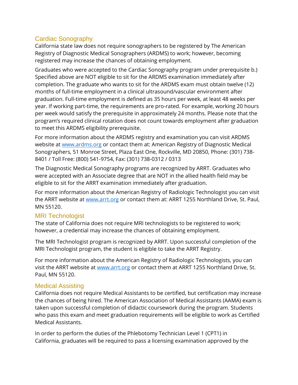### <span id="page-22-0"></span>Cardiac Sonography

California state law does not require sonographers to be registered by The American Registry of Diagnostic Medical Sonographers (ARDMS) to work; however, becoming registered may increase the chances of obtaining employment.

Graduates who were accepted to the Cardiac Sonography program under prerequisite b.) Specified above are NOT eligible to sit for the ARDMS examination immediately after completion. The graduate who wants to sit for the ARDMS exam must obtain twelve (12) months of full-time employment in a clinical ultrasound/vascular environment after graduation. Full-time employment is defined as 35 hours per week, at least 48 weeks per year. If working part-time, the requirements are pro-rated. For example, working 20 hours per week would satisfy the prerequisite in approximately 24 months. Please note that the program's required clinical rotation does not count towards employment after graduation to meet this ARDMS eligibility prerequisite.

For more information about the ARDMS registry and examination you can visit ARDMS website at [www.ardms.org](file:///C:/Users/Sam/AppData/Roaming/Microsoft/Word/www.ardms.org) or contact them at: American Registry of Diagnostic Medical Sonographers, 51 Monroe Street, Plaza East One, Rockville, MD 20850, Phone: (301) 738- 8401 / Toll Free: (800) 541-9754, Fax: (301) 738-0312 / 0313

The Diagnostic Medical Sonography programs are recognized by ARRT. Graduates who were accepted with an Associate degree that are NOT in the allied health field may be eligible to sit for the ARRT examination immediately after graduation.

For more information about the American Registry of Radiologic Technologist you can visit the ARRT website at [www.arrt.org](http://www.arrt.org/) or contact them at: ARRT 1255 Northland Drive, St. Paul, MN 55120.

### <span id="page-22-1"></span>MRI Technologist

The state of California does not require MRI technologists to be registered to work; however, a credential may increase the chances of obtaining employment.

The MRI Technologist program is recognized by ARRT. Upon successful completion of the MRI Technologist program, the student is eligible to take the ARRT Registry.

For more information about the American Registry of Radiologic Technologists, you can visit the ARRT website at [www.arrt.org](http://www.arrt.org/) or contact them at ARRT 1255 Northland Drive, St. Paul, MN 55120.

### <span id="page-22-2"></span>Medical Assisting

California does not require Medical Assistants to be certified, but certification may increase the chances of being hired. The American Association of Medical Assistants (AAMA) exam is taken upon successful completion of didactic coursework during the program. Students who pass this exam and meet graduation requirements will be eligible to work as Certified Medical Assistants.

In order to perform the duties of the Phlebotomy Technician Level 1 (CPT1) in California, graduates will be required to pass a licensing examination approved by the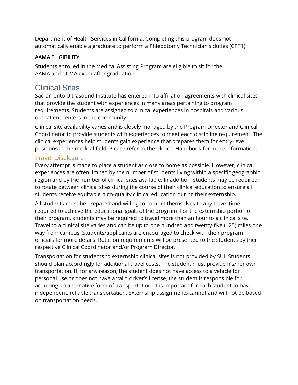Department of Health Services in California. Completing this program does not automatically enable a graduate to perform a Phlebotomy Technician's duties (CPT1).

#### AAMA ELIGIBILITY

Students enrolled in the Medical Assisting Program are eligible to sit for the AAMA and CCMA exam after graduation.

## <span id="page-23-0"></span>Clinical Sites

Sacramento Ultrasound Institute has entered into affiliation agreements with clinical sites that provide the student with experiences in many areas pertaining to program requirements. Students are assigned to clinical experiences in hospitals and various outpatient centers in the community.

Clinical site availability varies and is closely managed by the Program Director and Clinical Coordinator to provide students with experiences to meet each discipline requirement. The clinical experiences help students gain experience that prepares them for entry-level positions in the medical field. Please refer to the Clinical Handbook for more information.

### <span id="page-23-1"></span>Travel Disclosure

Every attempt is made to place a student as close to home as possible. However, clinical experiences are often limited by the number of students living within a specific geographic region and by the number of clinical sites available. In addition, students may be required to rotate between clinical sites during the course of their clinical education to ensure all students receive equitable high-quality clinical education during their externship.

All students must be prepared and willing to commit themselves to any travel time required to achieve the educational goals of the program. For the externship portion of their program, students may be required to travel more than an hour to a clinical site. Travel to a clinical site varies and can be up to one hundred and twenty-five (125) miles one way from campus. Students/applicants are encouraged to check with their program officials for more details. Rotation requirements will be presented to the students by their respective Clinical Coordinator and/or Program Director.

Transportation for students to externship clinical sites is not provided by SUI. Students should plan accordingly for additional travel costs. The student must provide his/her own transportation. If, for any reason, the student does not have access to a vehicle for personal use or does not have a valid driver's license, the student is responsible for acquiring an alternative form of transportation. It is important for each student to have independent, reliable transportation. Externship assignments cannot and will not be based on transportation needs.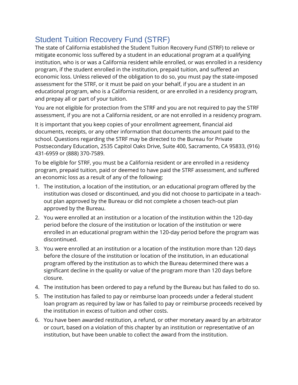# <span id="page-24-0"></span>Student Tuition Recovery Fund (STRF)

The state of California established the Student Tuition Recovery Fund (STRF) to relieve or mitigate economic loss suffered by a student in an educational program at a qualifying institution, who is or was a California resident while enrolled, or was enrolled in a residency program, if the student enrolled in the institution, prepaid tuition, and suffered an economic loss. Unless relieved of the obligation to do so, you must pay the state-imposed assessment for the STRF, or it must be paid on your behalf, if you are a student in an educational program, who is a California resident, or are enrolled in a residency program, and prepay all or part of your tuition.

You are not eligible for protection from the STRF and you are not required to pay the STRF assessment, if you are not a California resident, or are not enrolled in a residency program.

It is important that you keep copies of your enrollment agreement, financial aid documents, receipts, or any other information that documents the amount paid to the school. Questions regarding the STRF may be directed to the Bureau for Private Postsecondary Education, 2535 Capitol Oaks Drive, Suite 400, Sacramento, CA 95833, (916) 431-6959 or (888) 370-7589.

To be eligible for STRF, you must be a California resident or are enrolled in a residency program, prepaid tuition, paid or deemed to have paid the STRF assessment, and suffered an economic loss as a result of any of the following:

- 1. The institution, a location of the institution, or an educational program offered by the institution was closed or discontinued, and you did not choose to participate in a teachout plan approved by the Bureau or did not complete a chosen teach-out plan approved by the Bureau.
- 2. You were enrolled at an institution or a location of the institution within the 120-day period before the closure of the institution or location of the institution or were enrolled in an educational program within the 120-day period before the program was discontinued.
- 3. You were enrolled at an institution or a location of the institution more than 120 days before the closure of the institution or location of the institution, in an educational program offered by the institution as to which the Bureau determined there was a significant decline in the quality or value of the program more than 120 days before closure.
- 4. The institution has been ordered to pay a refund by the Bureau but has failed to do so.
- 5. The institution has failed to pay or reimburse loan proceeds under a federal student loan program as required by law or has failed to pay or reimburse proceeds received by the institution in excess of tuition and other costs.
- 6. You have been awarded restitution, a refund, or other monetary award by an arbitrator or court, based on a violation of this chapter by an institution or representative of an institution, but have been unable to collect the award from the institution.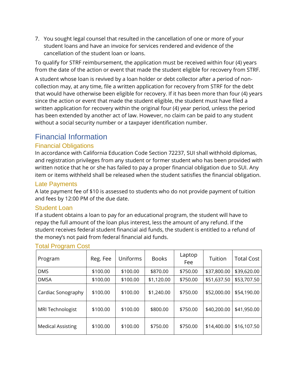7. You sought legal counsel that resulted in the cancellation of one or more of your student loans and have an invoice for services rendered and evidence of the cancellation of the student loan or loans.

To qualify for STRF reimbursement, the application must be received within four (4) years from the date of the action or event that made the student eligible for recovery from STRF.

A student whose loan is revived by a loan holder or debt collector after a period of noncollection may, at any time, file a written application for recovery from STRF for the debt that would have otherwise been eligible for recovery. If it has been more than four (4) years since the action or event that made the student eligible, the student must have filed a written application for recovery within the original four (4) year period, unless the period has been extended by another act of law. However, no claim can be paid to any student without a social security number or a taxpayer identification number.

## <span id="page-25-0"></span>Financial Information

### <span id="page-25-1"></span>Financial Obligations

In accordance with California Education Code Section 72237, SUI shall withhold diplomas, and registration privileges from any student or former student who has been provided with written notice that he or she has failed to pay a proper financial obligation due to SUI. Any item or items withheld shall be released when the student satisfies the financial obligation.

#### <span id="page-25-2"></span>Late Payments

A late payment fee of \$10 is assessed to students who do not provide payment of tuition and fees by 12:00 PM of the due date.

#### <span id="page-25-3"></span>Student Loan

If a student obtains a loan to pay for an educational program, the student will have to repay the full amount of the loan plus interest, less the amount of any refund. If the student receives federal student financial aid funds, the student is entitled to a refund of the money's not paid from federal financial aid funds.

| Program                  | Reg. Fee | Uniforms | <b>Books</b> | Laptop<br>Fee | Tuition     | <b>Total Cost</b> |
|--------------------------|----------|----------|--------------|---------------|-------------|-------------------|
| <b>DMS</b>               | \$100.00 | \$100.00 | \$870.00     | \$750.00      | \$37,800.00 | \$39,620.00       |
| <b>DMSA</b>              | \$100.00 | \$100.00 | \$1,120.00   | \$750.00      | \$51,637.50 | \$53,707.50       |
| Cardiac Sonography       | \$100.00 | \$100.00 | \$1,240.00   | \$750.00      | \$52,000.00 | \$54,190.00       |
| <b>MRI Technologist</b>  | \$100.00 | \$100.00 | \$800.00     | \$750.00      | \$40,200.00 | \$41,950.00       |
| <b>Medical Assisting</b> | \$100.00 | \$100.00 | \$750.00     | \$750.00      | \$14,400.00 | \$16,107.50       |

#### <span id="page-25-4"></span>Total Program Cost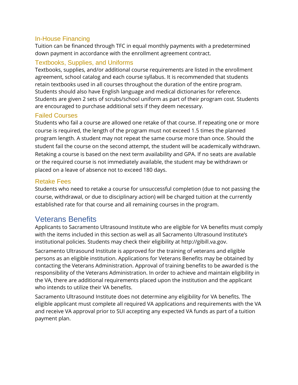#### <span id="page-26-0"></span>In-House Financing

Tuition can be financed through TFC in equal monthly payments with a predetermined down payment in accordance with the enrollment agreement contract.

### <span id="page-26-1"></span>Textbooks, Supplies, and Uniforms

Textbooks, supplies, and/or additional course requirements are listed in the enrollment agreement, school catalog and each course syllabus. It is recommended that students retain textbooks used in all courses throughout the duration of the entire program. Students should also have English language and medical dictionaries for reference. Students are given 2 sets of scrubs/school uniform as part of their program cost. Students are encouraged to purchase additional sets if they deem necessary.

#### <span id="page-26-2"></span>Failed Courses

Students who fail a course are allowed one retake of that course. If repeating one or more course is required, the length of the program must not exceed 1.5 times the planned program length. A student may not repeat the same course more than once. Should the student fail the course on the second attempt, the student will be academically withdrawn. Retaking a course is based on the next term availability and GPA. If no seats are available or the required course is not immediately available, the student may be withdrawn or placed on a leave of absence not to exceed 180 days.

### <span id="page-26-3"></span>Retake Fees

Students who need to retake a course for unsuccessful completion (due to not passing the course, withdrawal, or due to disciplinary action) will be charged tuition at the currently established rate for that course and all remaining courses in the program.

# <span id="page-26-4"></span>Veterans Benefits

Applicants to Sacramento Ultrasound Institute who are eligible for VA benefits must comply with the items included in this section as well as all Sacramento Ultrasound Institute's institutional policies. Students may check their eligibility at http://gibill.va.gov.

Sacramento Ultrasound Institute is approved for the training of veterans and eligible persons as an eligible institution. Applications for Veterans Benefits may be obtained by contacting the Veterans Administration. Approval of training benefits to be awarded is the responsibility of the Veterans Administration. In order to achieve and maintain eligibility in the VA, there are additional requirements placed upon the institution and the applicant who intends to utilize their VA benefits.

Sacramento Ultrasound Institute does not determine any eligibility for VA benefits. The eligible applicant must complete all required VA applications and requirements with the VA and receive VA approval prior to SUI accepting any expected VA funds as part of a tuition payment plan.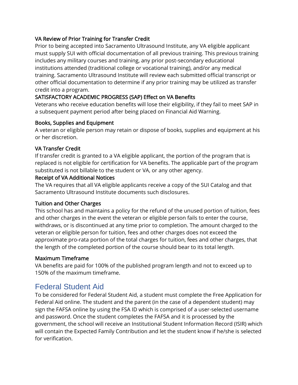#### VA Review of Prior Training for Transfer Credit

Prior to being accepted into Sacramento Ultrasound Institute, any VA eligible applicant must supply SUI with official documentation of all previous training. This previous training includes any military courses and training, any prior post-secondary educational institutions attended (traditional college or vocational training), and/or any medical training. Sacramento Ultrasound Institute will review each submitted official transcript or other official documentation to determine if any prior training may be utilized as transfer credit into a program.

#### SATISFACTORY ACADEMIC PROGRESS (SAP) Effect on VA Benefits

Veterans who receive education benefits will lose their eligibility, if they fail to meet SAP in a subsequent payment period after being placed on Financial Aid Warning.

#### Books, Supplies and Equipment

A veteran or eligible person may retain or dispose of books, supplies and equipment at his or her discretion.

#### VA Transfer Credit

If transfer credit is granted to a VA eligible applicant, the portion of the program that is replaced is not eligible for certification for VA benefits. The applicable part of the program substituted is not billable to the student or VA, or any other agency.

#### Receipt of VA Additional Notices

The VA requires that all VA eligible applicants receive a copy of the SUI Catalog and that Sacramento Ultrasound Institute documents such disclosures.

#### Tuition and Other Charges

This school has and maintains a policy for the refund of the unused portion of tuition, fees and other charges in the event the veteran or eligible person fails to enter the course, withdraws, or is discontinued at any time prior to completion. The amount charged to the veteran or eligible person for tuition, fees and other charges does not exceed the approximate pro-rata portion of the total charges for tuition, fees and other charges, that the length of the completed portion of the course should bear to its total length.

#### Maximum Timeframe

VA benefits are paid for 100% of the published program length and not to exceed up to 150% of the maximum timeframe.

## <span id="page-27-0"></span>Federal Student Aid

To be considered for Federal Student Aid, a student must complete the Free Application for Federal Aid online. The student and the parent (in the case of a dependent student) may sign the FAFSA online by using the FSA ID which is comprised of a user-selected username and password. Once the student completes the FAFSA and it is processed by the government, the school will receive an Institutional Student Information Record (ISIR) which will contain the Expected Family Contribution and let the student know if he/she is selected for verification.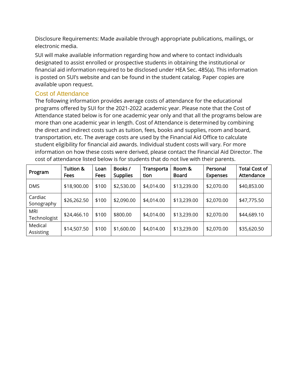Disclosure Requirements: Made available through appropriate publications, mailings, or electronic media.

SUI will make available information regarding how and where to contact individuals designated to assist enrolled or prospective students in obtaining the institutional or financial aid information required to be disclosed under HEA Sec. 485(a). This information is posted on SUI's website and can be found in the student catalog. Paper copies are available upon request.

#### <span id="page-28-0"></span>Cost of Attendance

The following information provides average costs of attendance for the educational programs offered by SUI for the 2021-2022 academic year. Please note that the Cost of Attendance stated below is for one academic year only and that all the programs below are more than one academic year in length. Cost of Attendance is determined by combining the direct and indirect costs such as tuition, fees, books and supplies, room and board, transportation, etc. The average costs are used by the Financial Aid Office to calculate student eligibility for financial aid awards. Individual student costs will vary. For more information on how these costs were derived, please contact the Financial Aid Director. The cost of attendance listed below is for students that do not live with their parents.

| Program               | <b>Tuition &amp;</b><br><b>Fees</b> | Loan<br>Fees | Books /<br><b>Supplies</b> | Transporta<br>tion | Room &<br><b>Board</b> | Personal<br><b>Expenses</b> | <b>Total Cost of</b><br>Attendance |
|-----------------------|-------------------------------------|--------------|----------------------------|--------------------|------------------------|-----------------------------|------------------------------------|
| <b>DMS</b>            | \$18,900.00                         | \$100        | \$2,530.00                 | \$4,014.00         | \$13,239.00            | \$2,070.00                  | \$40,853.00                        |
| Cardiac<br>Sonography | \$26,262.50                         | \$100        | \$2,090.00                 | \$4,014.00         | \$13,239.00            | \$2,070.00                  | \$47,775.50                        |
| MRI<br>Technologist   | \$24,466.10                         | \$100        | \$800.00                   | \$4,014.00         | \$13,239.00            | \$2,070.00                  | \$44,689.10                        |
| Medical<br>Assisting  | \$14,507.50                         | \$100        | \$1,600.00                 | \$4,014.00         | \$13,239.00            | \$2,070.00                  | \$35,620.50                        |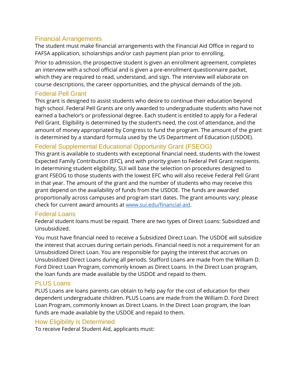#### <span id="page-29-0"></span>Financial Arrangements

The student must make financial arrangements with the Financial Aid Office in regard to FAFSA application, scholarships and/or cash payment plan prior to enrolling.

Prior to admission, the prospective student is given an enrollment agreement, completes an interview with a school official and is given a pre-enrollment questionnaire packet, which they are required to read, understand, and sign. The interview will elaborate on course descriptions, the career opportunities, and the physical demands of the job.

#### <span id="page-29-1"></span>Federal Pell Grant

This grant is designed to assist students who desire to continue their education beyond high school. Federal Pell Grants are only awarded to undergraduate students who have not earned a bachelor's or professional degree. Each student is entitled to apply for a Federal Pell Grant. Eligibility is determined by the student's need, the cost of attendance, and the amount of money appropriated by Congress to fund the program. The amount of the grant is determined by a standard formula used by the US Department of Education (USDOE).

### <span id="page-29-2"></span>Federal Supplemental Educational Opportunity Grant (FSEOG)

This grant is available to students with exceptional financial need, students with the lowest Expected Family Contribution (EFC), and with priority given to Federal Pell Grant recipients. In determining student eligibility, SUI will base the selection on procedures designed to grant FSEOG to those students with the lowest EFC who will also receive Federal Pell Grant in that year. The amount of the grant and the number of students who may receive this grant depend on the availability of funds from the USDOE. The funds are awarded proportionally across campuses and program start dates. The grant amounts vary; please check for current award amounts at [www.sui.edu/financial-aid.](http://www.sui.edu/financial-aid)

#### <span id="page-29-3"></span>Federal Loans

Federal student loans must be repaid. There are two types of Direct Loans: Subsidized and Unsubsidized.

You must have financial need to receive a Subsidized Direct Loan. The USDOE will subsidize the interest that accrues during certain periods. Financial need is not a requirement for an Unsubsidized Direct Loan. You are responsible for paying the interest that accrues on Unsubsidized Direct Loans during all periods. Stafford Loans are made from the William D. Ford Direct Loan Program, commonly known as Direct Loans. In the Direct Loan program, the loan funds are made available by the USDOE and repaid to them.

### <span id="page-29-4"></span>PLUS Loans

PLUS Loans are loans parents can obtain to help pay for the cost of education for their dependent undergraduate children. PLUS Loans are made from the William D. Ford Direct Loan Program, commonly known as Direct Loans. In the Direct Loan program, the loan funds are made available by the USDOE and repaid to them.

### <span id="page-29-5"></span>How Eligibility is Determined

To receive Federal Student Aid, applicants must: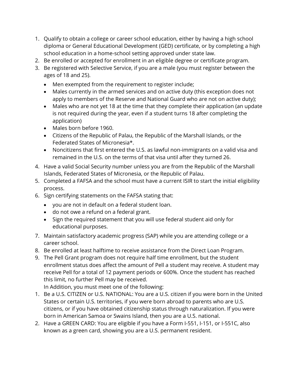- 1. Qualify to obtain a college or career school education, either by having a high school diploma or General Educational Development (GED) certificate, or by completing a high school education in a home-school setting approved under state law.
- 2. Be enrolled or accepted for enrollment in an eligible degree or certificate program.
- 3. Be registered with Selective Service, if you are a male (you must register between the ages of 18 and 25).
	- Men exempted from the requirement to register include;
	- Males currently in the armed services and on active duty (this exception does not apply to members of the Reserve and National Guard who are not on active duty);
	- Males who are not yet 18 at the time that they complete their application (an update is not required during the year, even if a student turns 18 after completing the application)
	- Males born before 1960.
	- Citizens of the Republic of Palau, the Republic of the Marshall Islands, or the Federated States of Micronesia\*.
	- Noncitizens that first entered the U.S. as lawful non-immigrants on a valid visa and remained in the U.S. on the terms of that visa until after they turned 26.
- 4. Have a valid Social Security number unless you are from the Republic of the Marshall Islands, Federated States of Micronesia, or the Republic of Palau.
- 5. Completed a FAFSA and the school must have a current ISIR to start the initial eligibility process.
- 6. Sign certifying statements on the FAFSA stating that:
	- you are not in default on a federal student loan.
	- do not owe a refund on a federal grant.
	- Sign the required statement that you will use federal student aid only for educational purposes.
- 7. Maintain satisfactory academic progress (SAP) while you are attending college or a career school.
- 8. Be enrolled at least halftime to receive assistance from the Direct Loan Program.
- 9. The Pell Grant program does not require half time enrollment, but the student enrollment status does affect the amount of Pell a student may receive. A student may receive Pell for a total of 12 payment periods or 600%. Once the student has reached this limit, no further Pell may be received.

In Addition, you must meet one of the following:

- 1. Be a U.S. CITIZEN or U.S. NATIONAL: You are a U.S. citizen if you were born in the United States or certain U.S. territories, if you were born abroad to parents who are U.S. citizens, or if you have obtained citizenship status through naturalization. If you were born in American Samoa or Swains Island, then you are a U.S. national.
- 2. Have a GREEN CARD: You are eligible if you have a Form I-551, I-151, or I-551C, also known as a green card, showing you are a U.S. permanent resident.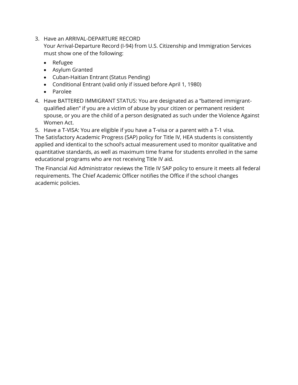3. Have an ARRIVAL-DEPARTURE RECORD

Your Arrival-Departure Record (I-94) from U.S. Citizenship and Immigration Services must show one of the following:

- Refugee
- Asylum Granted
- Cuban-Haitian Entrant (Status Pending)
- Conditional Entrant (valid only if issued before April 1, 1980)
- Parolee
- 4. Have BATTERED IMMIGRANT STATUS: You are designated as a "battered immigrantqualified alien" if you are a victim of abuse by your citizen or permanent resident spouse, or you are the child of a person designated as such under the Violence Against Women Act.
- 5. Have a T-VISA: You are eligible if you have a T-visa or a parent with a T-1 visa.

The Satisfactory Academic Progress (SAP) policy for Title IV, HEA students is consistently applied and identical to the school's actual measurement used to monitor qualitative and quantitative standards, as well as maximum time frame for students enrolled in the same educational programs who are not receiving Title IV aid.

The Financial Aid Administrator reviews the Title IV SAP policy to ensure it meets all federal requirements. The Chief Academic Officer notifies the Office if the school changes academic policies.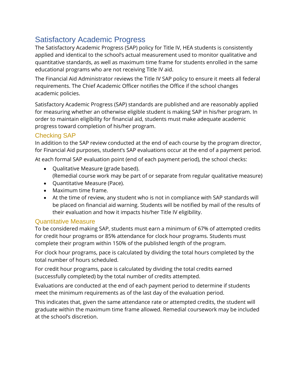# <span id="page-32-0"></span>Satisfactory Academic Progress

The Satisfactory Academic Progress (SAP) policy for Title IV, HEA students is consistently applied and identical to the school's actual measurement used to monitor qualitative and quantitative standards, as well as maximum time frame for students enrolled in the same educational programs who are not receiving Title IV aid.

The Financial Aid Administrator reviews the Title IV SAP policy to ensure it meets all federal requirements. The Chief Academic Officer notifies the Office if the school changes academic policies.

Satisfactory Academic Progress (SAP) standards are published and are reasonably applied for measuring whether an otherwise eligible student is making SAP in his/her program. In order to maintain eligibility for financial aid, students must make adequate academic progress toward completion of his/her program.

### Checking SAP

In addition to the SAP review conducted at the end of each course by the program director, for Financial Aid purposes, student's SAP evaluations occur at the end of a payment period.

At each formal SAP evaluation point (end of each payment period), the school checks:

- Qualitative Measure (grade based).
	- (Remedial course work may be part of or separate from regular qualitative measure)
- Quantitative Measure (Pace).
- Maximum time frame.
- At the time of review, any student who is not in compliance with SAP standards will be placed on financial aid warning. Students will be notified by mail of the results of their evaluation and how it impacts his/her Title IV eligibility.

### Quantitative Measure

To be considered making SAP, students must earn a minimum of 67% of attempted credits for credit hour programs or 85% attendance for clock hour programs. Students must complete their program within 150% of the published length of the program.

For clock hour programs, pace is calculated by dividing the total hours completed by the total number of hours scheduled.

For credit hour programs, pace is calculated by dividing the total credits earned (successfully completed) by the total number of credits attempted.

Evaluations are conducted at the end of each payment period to determine if students meet the minimum requirements as of the last day of the evaluation period.

This indicates that, given the same attendance rate or attempted credits, the student will graduate within the maximum time frame allowed. Remedial coursework may be included at the school's discretion.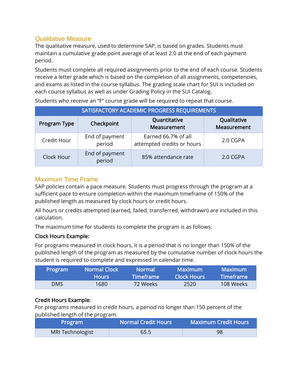### Qualitative Measure

The qualitative measure, used to determine SAP, is based on grades. Students must maintain a cumulative grade point average of at least 2.0 at the end of each payment period.

Students must complete all required assignments prior to the end of each course. Students receive a letter grade which is based on the completion of all assignments, competencies, and exams as listed in the course syllabus. The grading scale chart for SUI is included on each course syllabus as well as under Grading Policy in the SUI Catalog.

| SATISFACTORY ACADEMIC PROGRESS REQUIREMENTS |                          |                                                   |                            |  |  |  |
|---------------------------------------------|--------------------------|---------------------------------------------------|----------------------------|--|--|--|
| Program Type                                | Checkpoint               | Quantitative<br>Measurement                       | Qualitative<br>Measurement |  |  |  |
| Credit Hour                                 | End of payment<br>period | Earned 66.7% of all<br>attempted credits or hours | 2.0 CGPA                   |  |  |  |
| Clock Hour                                  | End of payment<br>period | 85% attendance rate                               | 2.0 CGPA                   |  |  |  |

Students who receive an "F" course grade will be required to repeat that course.

### Maximum Time Frame

SAP policies contain a pace measure. Students must progress through the program at a sufficient pace to ensure completion within the maximum timeframe of 150% of the published length as measured by clock hours or credit hours.

All hours or credits attempted (earned, failed, transferred, withdrawn) are included in this calculation.

The maximum time for students to complete the program is as follows:

#### Clock Hours Example:

For programs measured in clock hours, it is a period that is no longer than 150% of the published length of the program as measured by the cumulative number of clock hours the student is required to complete and expressed in calendar time.

| Program    | <b>Normal Clock</b> | <b>Normal</b>           | Maximum            | <b>Maximum</b>   |
|------------|---------------------|-------------------------|--------------------|------------------|
|            | ا Hours ا           | lTimeframe <sup>i</sup> | <b>Clock Hours</b> | <b>Timeframe</b> |
| <b>DMS</b> | 1680.               | -72 Weeks               | 2520               | 108 Weeks        |

### Credit Hours Example:

For programs measured in credit hours, a period no longer than 150 percent of the published length of the program.

| Program                 | <b>Normal Credit Hours</b> | <b>Maximum Credit Hours</b> |
|-------------------------|----------------------------|-----------------------------|
| <b>MRI Technologist</b> | 65.5                       | 98                          |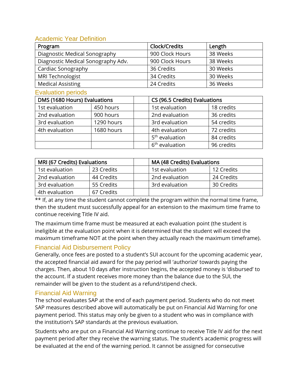### Academic Year Definition

| Program                            | Clock/Credits   | Length   |
|------------------------------------|-----------------|----------|
| Diagnostic Medical Sonography      | 900 Clock Hours | 38 Weeks |
| Diagnostic Medical Sonography Adv. | 900 Clock Hours | 38 Weeks |
| Cardiac Sonography                 | 36 Credits      | 30 Weeks |
| MRI Technologist                   | 34 Credits      | 30 Weeks |
| <b>Medical Assisting</b>           | 24 Credits      | 36 Weeks |

#### Evaluation periods

| DMS (1680 Hours) Evaluations |            | CS (96.5 Credits) Evaluations |                            |            |
|------------------------------|------------|-------------------------------|----------------------------|------------|
| 1st evaluation               | 450 hours  |                               | 1st evaluation             | 18 credits |
| 2nd evaluation               | 900 hours  |                               | 2nd evaluation             | 36 credits |
| 3rd evaluation               | 1290 hours |                               | 3rd evaluation             | 54 credits |
| 4th evaluation               | 1680 hours |                               | 4th evaluation             | 72 credits |
|                              |            |                               | 5 <sup>th</sup> evaluation | 84 credits |
|                              |            |                               | 6 <sup>th</sup> evaluation | 96 credits |

| MRI (67 Credits) Evaluations |            | MA (48 Credits) Evaluations |                |            |
|------------------------------|------------|-----------------------------|----------------|------------|
| 1st evaluation               | 23 Credits |                             | 1st evaluation | 12 Credits |
| 2nd evaluation               | 44 Credits |                             | 2nd evaluation | 24 Credits |
| 3rd evaluation               | 55 Credits |                             | 3rd evaluation | 30 Credits |
| 4th evaluation               | 67 Credits |                             |                |            |

 $**$  If, at any time the student cannot complete the program within the normal time frame, then the student must successfully appeal for an extension to the maximum time frame to continue receiving Title IV aid.

The maximum time frame must be measured at each evaluation point (the student is ineligible at the evaluation point when it is determined that the student will exceed the maximum timeframe NOT at the point when they actually reach the maximum timeframe).

### Financial Aid Disbursement Policy

Generally, once fees are posted to a student's SUI account for the upcoming academic year, the accepted financial aid award for the pay period will 'authorize' towards paying the charges. Then, about 10 days after instruction begins, the accepted money is 'disbursed' to the account. If a student receives more money than the balance due to the SUI, the remainder will be given to the student as a refund/stipend check.

### Financial Aid Warning

The school evaluates SAP at the end of each payment period. Students who do not meet SAP measures described above will automatically be put on Financial Aid Warning for one payment period. This status may only be given to a student who was in compliance with the institution's SAP standards at the previous evaluation.

Students who are put on a Financial Aid Warning continue to receive Title IV aid for the next payment period after they receive the warning status. The student's academic progress will be evaluated at the end of the warning period. It cannot be assigned for consecutive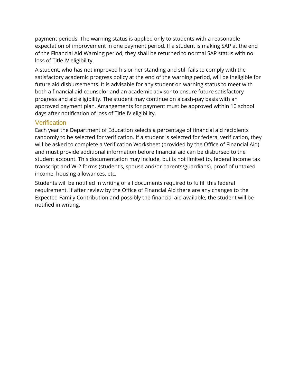payment periods. The warning status is applied only to students with a reasonable expectation of improvement in one payment period. If a student is making SAP at the end of the Financial Aid Warning period, they shall be returned to normal SAP status with no loss of Title IV eligibility.

A student, who has not improved his or her standing and still fails to comply with the satisfactory academic progress policy at the end of the warning period, will be ineligible for future aid disbursements. It is advisable for any student on warning status to meet with both a financial aid counselor and an academic advisor to ensure future satisfactory progress and aid eligibility. The student may continue on a cash-pay basis with an approved payment plan. Arrangements for payment must be approved within 10 school days after notification of loss of Title IV eligibility.

#### **Verification**

Each year the Department of Education selects a percentage of financial aid recipients randomly to be selected for verification. If a student is selected for federal verification, they will be asked to complete a Verification Worksheet (provided by the Office of Financial Aid) and must provide additional information before financial aid can be disbursed to the student account. This documentation may include, but is not limited to, federal income tax transcript and W-2 forms (student's, spouse and/or parents/guardians), proof of untaxed income, housing allowances, etc.

Students will be notified in writing of all documents required to fulfill this federal requirement. If after review by the Office of Financial Aid there are any changes to the Expected Family Contribution and possibly the financial aid available, the student will be notified in writing.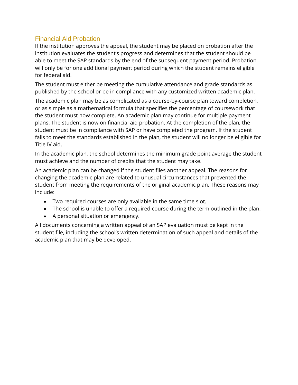## Financial Aid Probation

If the institution approves the appeal, the student may be placed on probation after the institution evaluates the student's progress and determines that the student should be able to meet the SAP standards by the end of the subsequent payment period. Probation will only be for one additional payment period during which the student remains eligible for federal aid.

The student must either be meeting the cumulative attendance and grade standards as published by the school or be in compliance with any customized written academic plan.

The academic plan may be as complicated as a course-by-course plan toward completion, or as simple as a mathematical formula that specifies the percentage of coursework that the student must now complete. An academic plan may continue for multiple payment plans. The student is now on financial aid probation. At the completion of the plan, the student must be in compliance with SAP or have completed the program. If the student fails to meet the standards established in the plan, the student will no longer be eligible for Title IV aid.

In the academic plan, the school determines the minimum grade point average the student must achieve and the number of credits that the student may take.

An academic plan can be changed if the student files another appeal. The reasons for changing the academic plan are related to unusual circumstances that prevented the student from meeting the requirements of the original academic plan. These reasons may include:

- Two required courses are only available in the same time slot.
- The school is unable to offer a required course during the term outlined in the plan.
- A personal situation or emergency.

All documents concerning a written appeal of an SAP evaluation must be kept in the student file, including the school's written determination of such appeal and details of the academic plan that may be developed.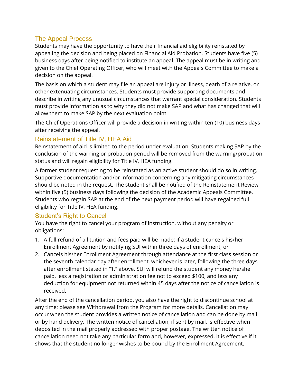# The Appeal Process

Students may have the opportunity to have their financial aid eligibility reinstated by appealing the decision and being placed on Financial Aid Probation. Students have five (5) business days after being notified to institute an appeal. The appeal must be in writing and given to the Chief Operating Officer, who will meet with the Appeals Committee to make a decision on the appeal.

The basis on which a student may file an appeal are injury or illness, death of a relative, or other extenuating circumstances. Students must provide supporting documents and describe in writing any unusual circumstances that warrant special consideration. Students must provide information as to why they did not make SAP and what has changed that will allow them to make SAP by the next evaluation point.

The Chief Operations Officer will provide a decision in writing within ten (10) business days after receiving the appeal.

# Reinstatement of Title IV, HEA Aid

Reinstatement of aid is limited to the period under evaluation. Students making SAP by the conclusion of the warning or probation period will be removed from the warning/probation status and will regain eligibility for Title IV, HEA funding.

A former student requesting to be reinstated as an active student should do so in writing. Supportive documentation and/or information concerning any mitigating circumstances should be noted in the request. The student shall be notified of the Reinstatement Review within five (5) business days following the decision of the Academic Appeals Committee. Students who regain SAP at the end of the next payment period will have regained full eligibility for Title IV, HEA funding.

# Student's Right to Cancel

You have the right to cancel your program of instruction, without any penalty or obligations:

- 1. A full refund of all tuition and fees paid will be made: if a student cancels his/her Enrollment Agreement by notifying SUI within three days of enrollment; or
- 2. Cancels his/her Enrollment Agreement through attendance at the first class session or the seventh calendar day after enrollment, whichever is later, following the three days after enrollment stated in "1." above. SUI will refund the student any money he/she paid, less a registration or administration fee not to exceed \$100, and less any deduction for equipment not returned within 45 days after the notice of cancellation is received.

After the end of the cancellation period, you also have the right to discontinue school at any time; please see Withdrawal from the Program for more details. Cancellation may occur when the student provides a written notice of cancellation and can be done by mail or by hand delivery. The written notice of cancellation, if sent by mail, is effective when deposited in the mail properly addressed with proper postage. The written notice of cancellation need not take any particular form and, however, expressed, it is effective if it shows that the student no longer wishes to be bound by the Enrollment Agreement.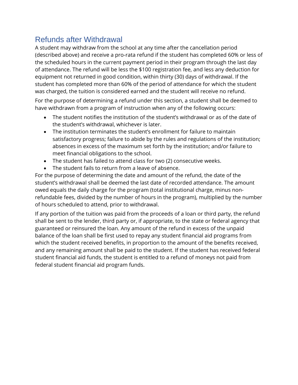# Refunds after Withdrawal

A student may withdraw from the school at any time after the cancellation period (described above) and receive a pro-rata refund if the student has completed 60% or less of the scheduled hours in the current payment period in their program through the last day of attendance. The refund will be less the \$100 registration fee, and less any deduction for equipment not returned in good condition, within thirty (30) days of withdrawal. If the student has completed more than 60% of the period of attendance for which the student was charged, the tuition is considered earned and the student will receive no refund.

For the purpose of determining a refund under this section, a student shall be deemed to have withdrawn from a program of instruction when any of the following occurs:

- The student notifies the institution of the student's withdrawal or as of the date of the student's withdrawal, whichever is later.
- The institution terminates the student's enrollment for failure to maintain satisfactory progress; failure to abide by the rules and regulations of the institution; absences in excess of the maximum set forth by the institution; and/or failure to meet financial obligations to the school.
- The student has failed to attend class for two (2) consecutive weeks.
- The student fails to return from a leave of absence.

For the purpose of determining the date and amount of the refund, the date of the student's withdrawal shall be deemed the last date of recorded attendance. The amount owed equals the daily charge for the program (total institutional charge, minus nonrefundable fees, divided by the number of hours in the program), multiplied by the number of hours scheduled to attend, prior to withdrawal.

If any portion of the tuition was paid from the proceeds of a loan or third party, the refund shall be sent to the lender, third party or, if appropriate, to the state or federal agency that guaranteed or reinsured the loan. Any amount of the refund in excess of the unpaid balance of the loan shall be first used to repay any student financial aid programs from which the student received benefits, in proportion to the amount of the benefits received, and any remaining amount shall be paid to the student. If the student has received federal student financial aid funds, the student is entitled to a refund of moneys not paid from federal student financial aid program funds.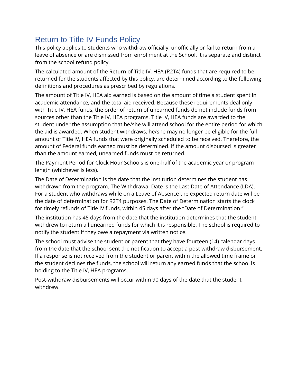# Return to Title IV Funds Policy

This policy applies to students who withdraw officially, unofficially or fail to return from a leave of absence or are dismissed from enrollment at the School. It is separate and distinct from the school refund policy.

The calculated amount of the Return of Title IV, HEA (R2T4) funds that are required to be returned for the students affected by this policy, are determined according to the following definitions and procedures as prescribed by regulations.

The amount of Title IV, HEA aid earned is based on the amount of time a student spent in academic attendance, and the total aid received. Because these requirements deal only with Title IV, HEA funds, the order of return of unearned funds do not include funds from sources other than the Title IV, HEA programs. Title IV, HEA funds are awarded to the student under the assumption that he/she will attend school for the entire period for which the aid is awarded. When student withdraws, he/she may no longer be eligible for the full amount of Title IV, HEA funds that were originally scheduled to be received. Therefore, the amount of Federal funds earned must be determined. If the amount disbursed is greater than the amount earned, unearned funds must be returned.

The Payment Period for Clock Hour Schools is one-half of the academic year or program length (whichever is less).

The Date of Determination is the date that the institution determines the student has withdrawn from the program. The Withdrawal Date is the Last Date of Attendance (LDA). For a student who withdraws while on a Leave of Absence the expected return date will be the date of determination for R2T4 purposes. The Date of Determination starts the clock for timely refunds of Title IV funds, within 45 days after the "Date of Determination."

The institution has 45 days from the date that the institution determines that the student withdrew to return all unearned funds for which it is responsible. The school is required to notify the student if they owe a repayment via written notice.

The school must advise the student or parent that they have fourteen (14) calendar days from the date that the school sent the notification to accept a post withdraw disbursement. If a response is not received from the student or parent within the allowed time frame or the student declines the funds, the school will return any earned funds that the school is holding to the Title IV, HEA programs.

Post-withdraw disbursements will occur within 90 days of the date that the student withdrew.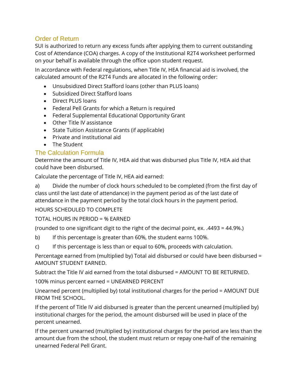# Order of Return

SUI is authorized to return any excess funds after applying them to current outstanding Cost of Attendance (COA) charges. A copy of the Institutional R2T4 worksheet performed on your behalf is available through the office upon student request.

In accordance with Federal regulations, when Title IV, HEA financial aid is involved, the calculated amount of the R2T4 Funds are allocated in the following order:

- Unsubsidized Direct Stafford loans (other than PLUS loans)
- Subsidized Direct Stafford loans
- Direct PLUS loans
- Federal Pell Grants for which a Return is required
- Federal Supplemental Educational Opportunity Grant
- Other Title IV assistance
- State Tuition Assistance Grants (if applicable)
- Private and institutional aid
- The Student

# The Calculation Formula

Determine the amount of Title IV, HEA aid that was disbursed plus Title IV, HEA aid that could have been disbursed.

Calculate the percentage of Title IV, HEA aid earned:

a) Divide the number of clock hours scheduled to be completed (from the first day of class until the last date of attendance) in the payment period as of the last date of attendance in the payment period by the total clock hours in the payment period.

#### HOURS SCHEDULED TO COMPLETE

#### TOTAL HOURS IN PERIOD = % EARNED

(rounded to one significant digit to the right of the decimal point, ex. .4493 = 44.9%.)

b) If this percentage is greater than 60%, the student earns 100%.

c) If this percentage is less than or equal to 60%, proceeds with calculation.

Percentage earned from (multiplied by) Total aid disbursed or could have been disbursed = AMOUNT STUDENT EARNED.

Subtract the Title IV aid earned from the total disbursed = AMOUNT TO BE RETURNED.

100% minus percent earned = UNEARNED PERCENT

Unearned percent (multiplied by) total institutional charges for the period = AMOUNT DUE FROM THE SCHOOL.

If the percent of Title IV aid disbursed is greater than the percent unearned (multiplied by) institutional charges for the period, the amount disbursed will be used in place of the percent unearned.

If the percent unearned (multiplied by) institutional charges for the period are less than the amount due from the school, the student must return or repay one-half of the remaining unearned Federal Pell Grant.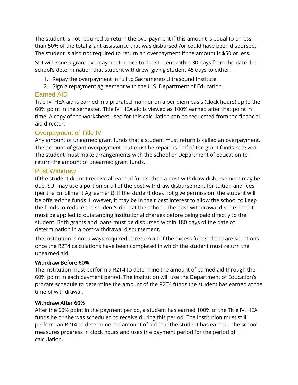The student is not required to return the overpayment if this amount is equal to or less than 50% of the total grant assistance that was disbursed /or could have been disbursed. The student is also not required to return an overpayment if the amount is \$50 or less.

SUI will issue a grant overpayment notice to the student within 30 days from the date the school's determination that student withdrew, giving student 45 days to either:

- 1. Repay the overpayment in full to Sacramento Ultrasound Institute
- 2. Sign a repayment agreement with the U.S. Department of Education.

## Earned AID

Title IV, HEA aid is earned in a prorated manner on a per diem basis (clock hours) up to the 60% point in the semester. Title IV, HEA aid is viewed as 100% earned after that point in time. A copy of the worksheet used for this calculation can be requested from the financial aid director.

# Overpayment of Title IV

Any amount of unearned grant funds that a student must return is called an overpayment. The amount of grant overpayment that must be repaid is half of the grant funds received. The student must make arrangements with the school or Department of Education to return the amount of unearned grant funds.

#### Post Withdraw

If the student did not receive all earned funds, then a post-withdraw disbursement may be due. SUI may use a portion or all of the post-withdraw disbursement for tuition and fees (per the Enrollment Agreement). If the student does not give permission, the student will be offered the funds. However, it may be in their best interest to allow the school to keep the funds to reduce the student's debt at the school. The post-withdrawal disbursement must be applied to outstanding institutional charges before being paid directly to the student. Both grants and loans must be disbursed within 180 days of the date of determination in a post-withdrawal disbursement.

The institution is not always required to return all of the excess funds; there are situations once the R2T4 calculations have been completed in which the student must return the unearned aid.

#### Withdraw Before 60%

The institution must perform a R2T4 to determine the amount of earned aid through the 60% point in each payment period. The institution will use the Department of Education's prorate schedule to determine the amount of the R2T4 funds the student has earned at the time of withdrawal.

#### Withdraw After 60%

After the 60% point in the payment period, a student has earned 100% of the Title IV, HEA funds he or she was scheduled to receive during this period. The institution must still perform an R2T4 to determine the amount of aid that the student has earned. The school measures progress in clock hours and uses the payment period for the period of calculation.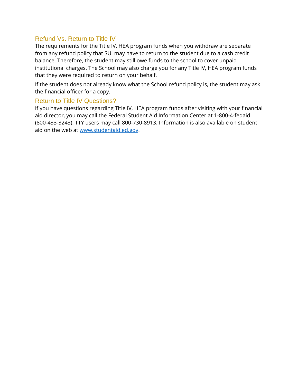# Refund Vs. Return to Title IV

The requirements for the Title IV, HEA program funds when you withdraw are separate from any refund policy that SUI may have to return to the student due to a cash credit balance. Therefore, the student may still owe funds to the school to cover unpaid institutional charges. The School may also charge you for any Title IV, HEA program funds that they were required to return on your behalf.

If the student does not already know what the School refund policy is, the student may ask the financial officer for a copy.

## Return to Title IV Questions?

If you have questions regarding Title IV, HEA program funds after visiting with your financial aid director, you may call the Federal Student Aid Information Center at 1-800-4-fedaid (800-433-3243). TTY users may call 800-730-8913. Information is also available on student aid on the web at [www.studentaid.ed.gov.](http://www.studentaid.ed.gov/)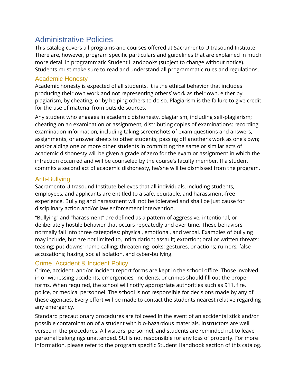# Administrative Policies

This catalog covers all programs and courses offered at Sacramento Ultrasound Institute. There are, however, program specific particulars and guidelines that are explained in much more detail in programmatic Student Handbooks (subject to change without notice). Students must make sure to read and understand all programmatic rules and regulations.

## Academic Honesty

Academic honesty is expected of all students. It is the ethical behavior that includes producing their own work and not representing others' work as their own, either by plagiarism, by cheating, or by helping others to do so. Plagiarism is the failure to give credit for the use of material from outside sources.

Any student who engages in academic dishonesty, plagiarism, including self-plagiarism; cheating on an examination or assignment; distributing copies of examinations; recording examination information, including taking screenshots of exam questions and answers, assignments, or answer sheets to other students; passing off another's work as one's own; and/or aiding one or more other students in committing the same or similar acts of academic dishonesty will be given a grade of zero for the exam or assignment in which the infraction occurred and will be counseled by the course's faculty member. If a student commits a second act of academic dishonesty, he/she will be dismissed from the program.

# Anti-Bullying

Sacramento Ultrasound Institute believes that all individuals, including students, employees, and applicants are entitled to a safe, equitable, and harassment-free experience. Bullying and harassment will not be tolerated and shall be just cause for disciplinary action and/or law enforcement intervention.

"Bullying" and "harassment" are defined as a pattern of aggressive, intentional, or deliberately hostile behavior that occurs repeatedly and over time. These behaviors normally fall into three categories: physical, emotional, and verbal. Examples of bullying may include, but are not limited to, intimidation; assault; extortion; oral or written threats; teasing; put-downs; name-calling; threatening looks; gestures, or actions; rumors; false accusations; hazing, social isolation, and cyber-bullying.

# Crime, Accident & Incident Policy

Crime, accident, and/or incident report forms are kept in the school office. Those involved in or witnessing accidents, emergencies, incidents, or crimes should fill out the proper forms. When required, the school will notify appropriate authorities such as 911, fire, police, or medical personnel. The school is not responsible for decisions made by any of these agencies. Every effort will be made to contact the students nearest relative regarding any emergency.

Standard precautionary procedures are followed in the event of an accidental stick and/or possible contamination of a student with bio-hazardous materials. Instructors are well versed in the procedures. All visitors, personnel, and students are reminded not to leave personal belongings unattended. SUI is not responsible for any loss of property. For more information, please refer to the program specific Student Handbook section of this catalog.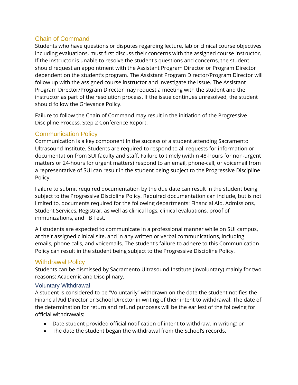# Chain of Command

Students who have questions or disputes regarding lecture, lab or clinical course objectives including evaluations, must first discuss their concerns with the assigned course instructor. If the instructor is unable to resolve the student's questions and concerns, the student should request an appointment with the Assistant Program Director or Program Director dependent on the student's program. The Assistant Program Director/Program Director will follow up with the assigned course instructor and investigate the issue. The Assistant Program Director/Program Director may request a meeting with the student and the instructor as part of the resolution process. If the issue continues unresolved, the student should follow the Grievance Policy.

Failure to follow the Chain of Command may result in the initiation of the Progressive Discipline Process, Step 2 Conference Report.

# Communication Policy

Communication is a key component in the success of a student attending Sacramento Ultrasound Institute. Students are required to respond to all requests for information or documentation from SUI faculty and staff. Failure to timely (within 48-hours for non-urgent matters or 24-hours for urgent matters) respond to an email, phone-call, or voicemail from a representative of SUI can result in the student being subject to the Progressive Discipline Policy.

Failure to submit required documentation by the due date can result in the student being subject to the Progressive Discipline Policy. Required documentation can include, but is not limited to, documents required for the following departments: Financial Aid, Admissions, Student Services, Registrar, as well as clinical logs, clinical evaluations, proof of immunizations, and TB Test.

All students are expected to communicate in a professional manner while on SUI campus, at their assigned clinical site, and in any written or verbal communications, including emails, phone calls, and voicemails. The student's failure to adhere to this Communication Policy can result in the student being subject to the Progressive Discipline Policy.

# Withdrawal Policy

Students can be dismissed by Sacramento Ultrasound Institute (involuntary) mainly for two reasons: Academic and Disciplinary.

#### Voluntary Withdrawal

A student is considered to be "Voluntarily" withdrawn on the date the student notifies the Financial Aid Director or School Director in writing of their intent to withdrawal. The date of the determination for return and refund purposes will be the earliest of the following for official withdrawals:

- Date student provided official notification of intent to withdraw, in writing; or
- The date the student began the withdrawal from the School's records.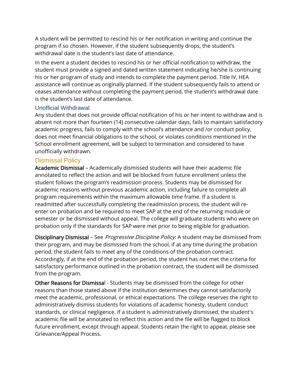A student will be permitted to rescind his or her notification in writing and continue the program if so chosen. However, if the student subsequently drops, the student's withdrawal date is the student's last date of attendance.

In the event a student decides to rescind his or her official notification to withdraw, the student must provide a signed and dated written statement indicating he/she is continuing his or her program of study and intends to complete the payment period. Title IV, HEA assistance will continue as originally planned. If the student subsequently fails to attend or ceases attendance without completing the payment period, the student's withdrawal date is the student's last date of attendance.

#### Unofficial Withdrawal

Any student that does not provide official notification of his or her intent to withdraw and is absent not more than fourteen (14) consecutive calendar days, fails to maintain satisfactory academic progress, fails to comply with the school's attendance and /or conduct policy, does not meet financial obligations to the school, or violates conditions mentioned in the School enrollment agreement, will be subject to termination and considered to have unofficially withdrawn.

#### Dismissal Policy

Academic Dismissal – Academically dismissed students will have their academic file annotated to reflect the action and will be blocked from future enrollment unless the student follows the program's readmission process. Students may be dismissed for academic reasons without previous academic action, including failure to complete all program requirements within the maximum allowable time frame. If a student is readmitted after successfully completing the readmission process, the student will reenter on probation and be required to meet SAP at the end of the returning module or semester or be dismissed without appeal. The college will graduate students who were on probation only if the standards for SAP were met prior to being eligible for graduation.

Disciplinary Dismissal – See *Progressive Discipline Policy*: A student may be dismissed from their program, and may be dismissed from the school, if at any time during the probation period, the student fails to meet any of the conditions of the probation contract. Accordingly, if at the end of the probation period, the student has not met the criteria for satisfactory performance outlined in the probation contract, the student will be dismissed from the program.

Other Reasons for Dismissal - Students may be dismissed from the college for other reasons than those stated above if the institution determines they cannot satisfactorily meet the academic, professional, or ethical expectations. The college reserves the right to administratively dismiss students for violations of academic honesty, student conduct standards, or clinical negligence. If a student is administratively dismissed, the student's academic file will be annotated to reflect this action and the file will be flagged to block future enrollment, except through appeal. Students retain the right to appeal, please see Grievance/Appeal Process.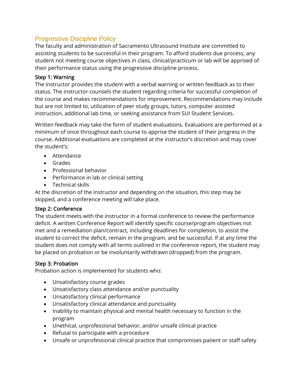# Progressive Discipline Policy

The faculty and administration of Sacramento Ultrasound Institute are committed to assisting students to be successful in their program. To afford students due process, any student not meeting course objectives in class, clinical/practicum or lab will be apprised of their performance status using the progressive discipline process.

#### Step 1: Warning

The instructor provides the student with a verbal warning or written feedback as to their status. The instructor counsels the student regarding criteria for successful completion of the course and makes recommendations for improvement. Recommendations may include but are not limited to, utilization of peer study groups, tutors, computer assisted instruction, additional lab time, or seeking assistance from SUI Student Services.

Written feedback may take the form of student evaluations. Evaluations are performed at a minimum of once throughout each course to apprise the student of their progress in the course. Additional evaluations are completed at the instructor's discretion and may cover the student's:

- Attendance
- Grades
- Professional behavior
- Performance in lab or clinical setting
- Technical skills

At the discretion of the instructor and depending on the situation, this step may be skipped, and a conference meeting will take place.

# Step 2: Conference

The student meets with the instructor in a formal conference to review the performance deficit. A written Conference Report will identify specific course/program objectives not met and a remediation plan/contract, including deadlines for completion, to assist the student to correct the deficit, remain in the program, and be successful. If at any time the student does not comply with all terms outlined in the conference report, the student may be placed on probation or be involuntarily withdrawn (dropped) from the program.

# Step 3: Probation

Probation action is implemented for students who:

- Unsatisfactory course grades
- Unsatisfactory class attendance and/or punctuality
- Unsatisfactory clinical performance
- Unsatisfactory clinical attendance and punctuality
- Inability to maintain physical and mental health necessary to function in the program
- Unethical, unprofessional behavior, and/or unsafe clinical practice
- Refusal to participate with a procedure
- Unsafe or unprofessional clinical practice that compromises patient or staff safety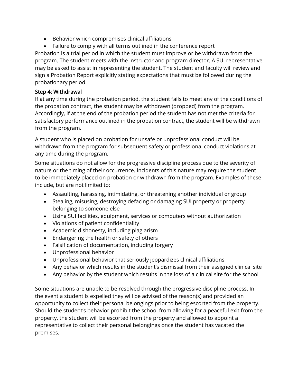- Behavior which compromises clinical affiliations
- Failure to comply with all terms outlined in the conference report

Probation is a trial period in which the student must improve or be withdrawn from the program. The student meets with the instructor and program director. A SUI representative may be asked to assist in representing the student. The student and faculty will review and sign a Probation Report explicitly stating expectations that must be followed during the probationary period.

#### Step 4: Withdrawal

If at any time during the probation period, the student fails to meet any of the conditions of the probation contract, the student may be withdrawn (dropped) from the program. Accordingly, if at the end of the probation period the student has not met the criteria for satisfactory performance outlined in the probation contract, the student will be withdrawn from the program.

A student who is placed on probation for unsafe or unprofessional conduct will be withdrawn from the program for subsequent safety or professional conduct violations at any time during the program.

Some situations do not allow for the progressive discipline process due to the severity of nature or the timing of their occurrence. Incidents of this nature may require the student to be immediately placed on probation or withdrawn from the program. Examples of these include, but are not limited to:

- Assaulting, harassing, intimidating, or threatening another individual or group
- Stealing, misusing, destroying defacing or damaging SUI property or property belonging to someone else
- Using SUI facilities, equipment, services or computers without authorization
- Violations of patient confidentiality
- Academic dishonesty, including plagiarism
- Endangering the health or safety of others
- Falsification of documentation, including forgery
- Unprofessional behavior
- Unprofessional behavior that seriously jeopardizes clinical affiliations
- Any behavior which results in the student's dismissal from their assigned clinical site
- Any behavior by the student which results in the loss of a clinical site for the school

Some situations are unable to be resolved through the progressive discipline process. In the event a student is expelled they will be advised of the reason(s) and provided an opportunity to collect their personal belongings prior to being escorted from the property. Should the student's behavior prohibit the school from allowing for a peaceful exit from the property, the student will be escorted from the property and allowed to appoint a representative to collect their personal belongings once the student has vacated the premises.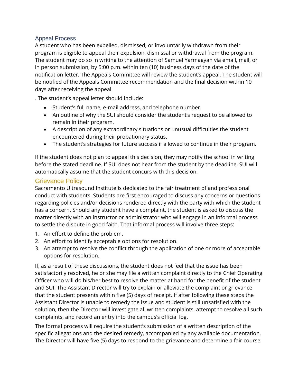#### Appeal Process

A student who has been expelled, dismissed, or involuntarily withdrawn from their program is eligible to appeal their expulsion, dismissal or withdrawal from the program. The student may do so in writing to the attention of Samuel Yarmagyan via email, mail, or in person submission, by 5:00 p.m. within ten (10) business days of the date of the notification letter. The Appeals Committee will review the student's appeal. The student will be notified of the Appeals Committee recommendation and the final decision within 10 days after receiving the appeal.

. The student's appeal letter should include:

- Student's full name, e-mail address, and telephone number.
- An outline of why the SUI should consider the student's request to be allowed to remain in their program.
- A description of any extraordinary situations or unusual difficulties the student encountered during their probationary status.
- The student's strategies for future success if allowed to continue in their program.

If the student does not plan to appeal this decision, they may notify the school in writing before the stated deadline. If SUI does not hear from the student by the deadline, SUI will automatically assume that the student concurs with this decision.

## Grievance Policy

Sacramento Ultrasound Institute is dedicated to the fair treatment of and professional conduct with students. Students are first encouraged to discuss any concerns or questions regarding policies and/or decisions rendered directly with the party with which the student has a concern. Should any student have a complaint, the student is asked to discuss the matter directly with an instructor or administrator who will engage in an informal process to settle the dispute in good faith. That informal process will involve three steps:

- 1. An effort to define the problem.
- 2. An effort to identify acceptable options for resolution.
- 3. An attempt to resolve the conflict through the application of one or more of acceptable options for resolution.

If, as a result of these discussions, the student does not feel that the issue has been satisfactorily resolved, he or she may file a written complaint directly to the Chief Operating Officer who will do his/her best to resolve the matter at hand for the benefit of the student and SUI. The Assistant Director will try to explain or alleviate the complaint or grievance that the student presents within five (5) days of receipt. If after following these steps the Assistant Director is unable to remedy the issue and student is still unsatisfied with the solution, then the Director will investigate all written complaints, attempt to resolve all such complaints, and record an entry into the campus's official log.

The formal process will require the student's submission of a written description of the specific allegations and the desired remedy, accompanied by any available documentation. The Director will have five (5) days to respond to the grievance and determine a fair course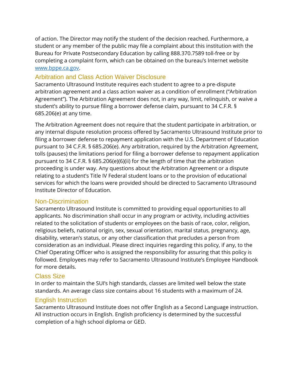of action. The Director may notify the student of the decision reached. Furthermore, a student or any member of the public may file a complaint about this institution with the Bureau for Private Postsecondary Education by calling 888.370.7589 toll-free or by completing a complaint form, which can be obtained on the bureau's Internet website [www.bppe.ca.gov.](http://www.bppe.ca.gov/)

## Arbitration and Class Action Waiver Disclosure

Sacramento Ultrasound Institute requires each student to agree to a pre-dispute arbitration agreement and a class action waiver as a condition of enrollment ("Arbitration Agreement"). The Arbitration Agreement does not, in any way, limit, relinquish, or waive a student's ability to pursue filing a borrower defense claim, pursuant to 34 C.F.R. § 685.206(e) at any time.

The Arbitration Agreement does not require that the student participate in arbitration, or any internal dispute resolution process offered by Sacramento Ultrasound Institute prior to filing a borrower defense to repayment application with the U.S. Department of Education pursuant to 34 C.F.R. § 685.206(e). Any arbitration, required by the Arbitration Agreement, tolls (pauses) the limitations period for filing a borrower defense to repayment application pursuant to 34 C.F.R. § 685.206(e)(6)(ii) for the length of time that the arbitration proceeding is under way. Any questions about the Arbitration Agreement or a dispute relating to a student's Title IV Federal student loans or to the provision of educational services for which the loans were provided should be directed to Sacramento Ultrasound Institute Director of Education.

#### Non-Discrimination

Sacramento Ultrasound Institute is committed to providing equal opportunities to all applicants. No discrimination shall occur in any program or activity, including activities related to the solicitation of students or employees on the basis of race, color, religion, religious beliefs, national origin, sex, sexual orientation, marital status, pregnancy, age, disability, veteran's status, or any other classification that precludes a person from consideration as an individual. Please direct inquiries regarding this policy, if any, to the Chief Operating Officer who is assigned the responsibility for assuring that this policy is followed. Employees may refer to Sacramento Ultrasound Institute's Employee Handbook for more details.

#### Class Size

In order to maintain the SUI's high standards, classes are limited well below the state standards. An average class size contains about 16 students with a maximum of 24.

#### English Instruction

Sacramento Ultrasound Institute does not offer English as a Second Language instruction. All instruction occurs in English. English proficiency is determined by the successful completion of a high school diploma or GED.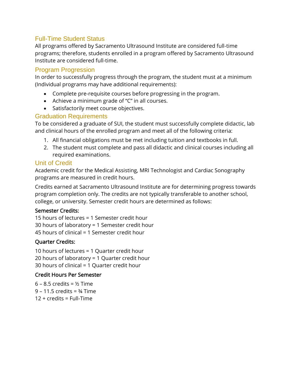# Full-Time Student Status

All programs offered by Sacramento Ultrasound Institute are considered full-time programs; therefore, students enrolled in a program offered by Sacramento Ultrasound Institute are considered full-time.

#### Program Progression

In order to successfully progress through the program, the student must at a minimum (Individual programs may have additional requirements):

- Complete pre-requisite courses before progressing in the program.
- Achieve a minimum grade of "C" in all courses.
- Satisfactorily meet course objectives.

## Graduation Requirements

To be considered a graduate of SUI, the student must successfully complete didactic, lab and clinical hours of the enrolled program and meet all of the following criteria:

- 1. All financial obligations must be met including tuition and textbooks in full.
- 2. The student must complete and pass all didactic and clinical courses including all required examinations.

#### Unit of Credit

Academic credit for the Medical Assisting, MRI Technologist and Cardiac Sonography programs are measured in credit hours.

Credits earned at Sacramento Ultrasound Institute are for determining progress towards program completion only. The credits are not typically transferable to another school, college, or university. Semester credit hours are determined as follows:

#### Semester Credits:

15 hours of lectures = 1 Semester credit hour 30 hours of laboratory = 1 Semester credit hour 45 hours of clinical = 1 Semester credit hour

#### Quarter Credits:

10 hours of lectures = 1 Quarter credit hour 20 hours of laboratory = 1 Quarter credit hour 30 hours of clinical = 1 Quarter credit hour

#### Credit Hours Per Semester

 $6 - 8.5$  credits =  $%$  Time  $9 - 11.5$  credits =  $\frac{3}{4}$  Time 12 + credits = Full-Time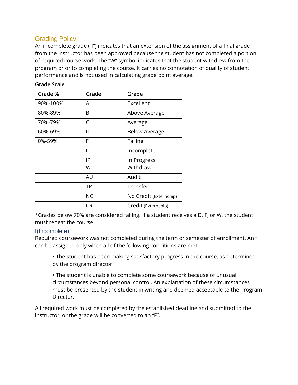# Grading Policy

An incomplete grade ("I") indicates that an extension of the assignment of a final grade from the instructor has been approved because the student has not completed a portion of required course work. The "W" symbol indicates that the student withdrew from the program prior to completing the course. It carries no connotation of quality of student performance and is not used in calculating grade point average.

| Grade %  | Grade     | Grade                  |  |
|----------|-----------|------------------------|--|
| 90%-100% | A         | Excellent              |  |
| 80%-89%  | B         | Above Average          |  |
| 70%-79%  | C         | Average                |  |
| 60%-69%  | D         | <b>Below Average</b>   |  |
| 0%-59%   | F         | Failing                |  |
|          |           | Incomplete             |  |
|          | ΙP        | In Progress            |  |
|          | W         | Withdraw               |  |
|          | AU        | Audit                  |  |
|          | TR        | Transfer               |  |
|          | <b>NC</b> | No Credit (Externship) |  |
|          | CR        | Credit (Externship)    |  |

#### Grade Scale

\*Grades below 70% are considered failing. If a student receives a D, F, or W, the student must repeat the course.

# I(Incomplete)

Required coursework was not completed during the term or semester of enrollment. An "I" can be assigned only when all of the following conditions are met:

• The student has been making satisfactory progress in the course, as determined by the program director.

• The student is unable to complete some coursework because of unusual circumstances beyond personal control. An explanation of these circumstances must be presented by the student in writing and deemed acceptable to the Program Director.

All required work must be completed by the established deadline and submitted to the instructor, or the grade will be converted to an "F".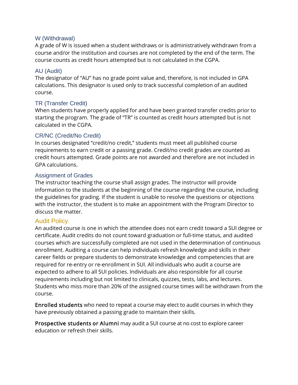#### W (Withdrawal)

A grade of W is issued when a student withdraws or is administratively withdrawn from a course and/or the institution and courses are not completed by the end of the term. The course counts as credit hours attempted but is not calculated in the CGPA.

#### AU (Audit)

The designator of "AU" has no grade point value and, therefore, is not included in GPA calculations. This designator is used only to track successful completion of an audited course.

#### TR (Transfer Credit)

When students have properly applied for and have been granted transfer credits prior to starting the program. The grade of "TR" is counted as credit hours attempted but is not calculated in the CGPA.

#### CR/NC (Credit/No Credit)

In courses designated "credit/no credit," students must meet all published course requirements to earn credit or a passing grade. Credit/no credit grades are counted as credit hours attempted. Grade points are not awarded and therefore are not included in GPA calculations.

#### Assignment of Grades

The instructor teaching the course shall assign grades. The instructor will provide information to the students at the beginning of the course regarding the course, including the guidelines for grading. If the student is unable to resolve the questions or objections with the instructor, the student is to make an appointment with the Program Director to discuss the matter.

#### Audit Policy

An audited course is one in which the attendee does not earn credit toward a SUI degree or certificate. Audit credits do not count toward graduation or full-time status, and audited courses which are successfully completed are not used in the determination of continuous enrollment. Auditing a course can help individuals refresh knowledge and skills in their career fields or prepare students to demonstrate knowledge and competencies that are required for re-entry or re-enrollment in SUI. All individuals who audit a course are expected to adhere to all SUI policies. Individuals are also responsible for all course requirements including but not limited to clinicals, quizzes, tests, labs, and lectures. Students who miss more than 20% of the assigned course times will be withdrawn from the course.

Enrolled students who need to repeat a course may elect to audit courses in which they have previously obtained a passing grade to maintain their skills.

Prospective students or Alumni may audit a SUI course at no cost to explore career education or refresh their skills.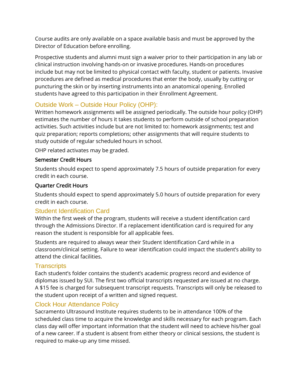Course audits are only available on a space available basis and must be approved by the Director of Education before enrolling.

Prospective students and alumni must sign a waiver prior to their participation in any lab or clinical instruction involving hands-on or invasive procedures. Hands-on procedures include but may not be limited to physical contact with faculty, student or patients. Invasive procedures are defined as medical procedures that enter the body, usually by cutting or puncturing the skin or by inserting instruments into an anatomical opening. Enrolled students have agreed to this participation in their Enrollment Agreement.

# Outside Work – Outside Hour Policy (OHP):

Written homework assignments will be assigned periodically. The outside hour policy (OHP) estimates the number of hours it takes students to perform outside of school preparation activities. Such activities include but are not limited to: homework assignments; test and quiz preparation; reports completions; other assignments that will require students to study outside of regular scheduled hours in school.

OHP related activates may be graded.

#### Semester Credit Hours

Students should expect to spend approximately 7.5 hours of outside preparation for every credit in each course.

## Quarter Credit Hours

Students should expect to spend approximately 5.0 hours of outside preparation for every credit in each course.

# Student Identification Card

Within the first week of the program, students will receive a student identification card through the Admissions Director. If a replacement identification card is required for any reason the student is responsible for all applicable fees.

Students are required to always wear their Student Identification Card while in a classroom/clinical setting. Failure to wear identification could impact the student's ability to attend the clinical facilities.

# **Transcripts**

Each student's folder contains the student's academic progress record and evidence of diplomas issued by SUI. The first two official transcripts requested are issued at no charge. A \$15 fee is charged for subsequent transcript requests. Transcripts will only be released to the student upon receipt of a written and signed request.

# Clock Hour Attendance Policy

Sacramento Ultrasound Institute requires students to be in attendance 100% of the scheduled class time to acquire the knowledge and skills necessary for each program. Each class day will offer important information that the student will need to achieve his/her goal of a new career. If a student is absent from either theory or clinical sessions, the student is required to make-up any time missed.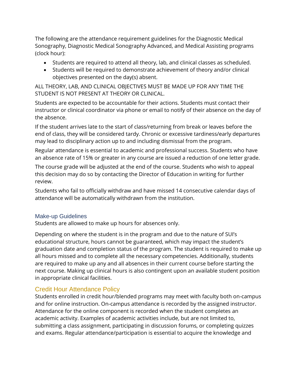The following are the attendance requirement guidelines for the Diagnostic Medical Sonography, Diagnostic Medical Sonography Advanced, and Medical Assisting programs (clock hour):

- Students are required to attend all theory, lab, and clinical classes as scheduled.
- Students will be required to demonstrate achievement of theory and/or clinical objectives presented on the day(s) absent.

ALL THEORY, LAB, AND CLINICAL OBJECTIVES MUST BE MADE UP FOR ANY TIME THE STUDENT IS NOT PRESENT AT THEORY OR CLINICAL.

Students are expected to be accountable for their actions. Students must contact their instructor or clinical coordinator via phone or email to notify of their absence on the day of the absence.

If the student arrives late to the start of class/returning from break or leaves before the end of class, they will be considered tardy. Chronic or excessive tardiness/early departures may lead to disciplinary action up to and including dismissal from the program.

Regular attendance is essential to academic and professional success. Students who have an absence rate of 15% or greater in any course are issued a reduction of one letter grade.

The course grade will be adjusted at the end of the course. Students who wish to appeal this decision may do so by contacting the Director of Education in writing for further review.

Students who fail to officially withdraw and have missed 14 consecutive calendar days of attendance will be automatically withdrawn from the institution.

#### Make-up Guidelines

Students are allowed to make up hours for absences only.

Depending on where the student is in the program and due to the nature of SUI's educational structure, hours cannot be guaranteed, which may impact the student's graduation date and completion status of the program. The student is required to make up all hours missed and to complete all the necessary competencies. Additionally, students are required to make up any and all absences in their current course before starting the next course. Making up clinical hours is also contingent upon an available student position in appropriate clinical facilities.

# Credit Hour Attendance Policy

Students enrolled in credit hour/blended programs may meet with faculty both on-campus and for online instruction. On-campus attendance is recorded by the assigned instructor. Attendance for the online component is recorded when the student completes an academic activity. Examples of academic activities include, but are not limited to, submitting a class assignment, participating in discussion forums, or completing quizzes and exams. Regular attendance/participation is essential to acquire the knowledge and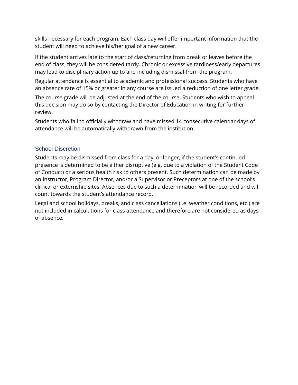skills necessary for each program. Each class day will offer important information that the student will need to achieve his/her goal of a new career.

If the student arrives late to the start of class/returning from break or leaves before the end of class, they will be considered tardy. Chronic or excessive tardiness/early departures may lead to disciplinary action up to and including dismissal from the program.

Regular attendance is essential to academic and professional success. Students who have an absence rate of 15% or greater in any course are issued a reduction of one letter grade.

The course grade will be adjusted at the end of the course. Students who wish to appeal this decision may do so by contacting the Director of Education in writing for further review.

Students who fail to officially withdraw and have missed 14 consecutive calendar days of attendance will be automatically withdrawn from the institution.

## School Discretion

Students may be dismissed from class for a day, or longer, if the student's continued presence is determined to be either disruptive (e.g. due to a violation of the Student Code of Conduct) or a serious health risk to others present. Such determination can be made by an Instructor, Program Director, and/or a Supervisor or Preceptors at one of the school's clinical or externship sites. Absences due to such a determination will be recorded and will count towards the student's attendance record.

Legal and school holidays, breaks, and class cancellations (i.e. weather conditions, etc.) are not included in calculations for class attendance and therefore are not considered as days of absence.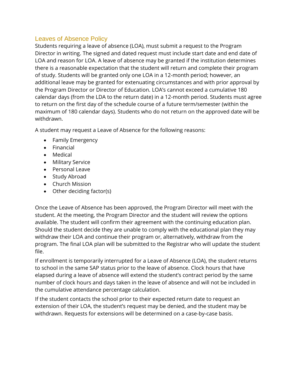## Leaves of Absence Policy

Students requiring a leave of absence (LOA), must submit a request to the Program Director in writing. The signed and dated request must include start date and end date of LOA and reason for LOA. A leave of absence may be granted if the institution determines there is a reasonable expectation that the student will return and complete their program of study. Students will be granted only one LOA in a 12-month period; however, an additional leave may be granted for extenuating circumstances and with prior approval by the Program Director or Director of Education. LOA's cannot exceed a cumulative 180 calendar days (from the LDA to the return date) in a 12-month period. Students must agree to return on the first day of the schedule course of a future term/semester (within the maximum of 180 calendar days). Students who do not return on the approved date will be withdrawn.

A student may request a Leave of Absence for the following reasons:

- Family Emergency
- Financial
- Medical
- Military Service
- Personal Leave
- Study Abroad
- Church Mission
- Other deciding factor(s)

Once the Leave of Absence has been approved, the Program Director will meet with the student. At the meeting, the Program Director and the student will review the options available. The student will confirm their agreement with the continuing education plan. Should the student decide they are unable to comply with the educational plan they may withdraw their LOA and continue their program or, alternatively, withdraw from the program. The final LOA plan will be submitted to the Registrar who will update the student file.

If enrollment is temporarily interrupted for a Leave of Absence (LOA), the student returns to school in the same SAP status prior to the leave of absence. Clock hours that have elapsed during a leave of absence will extend the student's contract period by the same number of clock hours and days taken in the leave of absence and will not be included in the cumulative attendance percentage calculation.

If the student contacts the school prior to their expected return date to request an extension of their LOA, the student's request may be denied, and the student may be withdrawn. Requests for extensions will be determined on a case-by-case basis.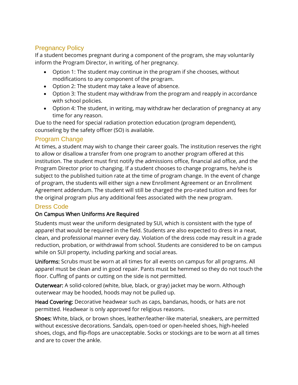# Pregnancy Policy

If a student becomes pregnant during a component of the program, she may voluntarily inform the Program Director, in writing, of her pregnancy.

- Option 1: The student may continue in the program if she chooses, without modifications to any component of the program.
- Option 2: The student may take a leave of absence.
- Option 3: The student may withdraw from the program and reapply in accordance with school policies.
- Option 4: The student, in writing, may withdraw her declaration of pregnancy at any time for any reason.

Due to the need for special radiation protection education (program dependent), counseling by the safety officer (SO) is available.

# Program Change

At times, a student may wish to change their career goals. The institution reserves the right to allow or disallow a transfer from one program to another program offered at this institution. The student must first notify the admissions office, financial aid office, and the Program Director prior to changing. If a student chooses to change programs, he/she is subject to the published tuition rate at the time of program change. In the event of change of program, the students will either sign a new Enrollment Agreement or an Enrollment Agreement addendum. The student will still be charged the pro-rated tuition and fees for the original program plus any additional fees associated with the new program.

# Dress Code

# On Campus When Uniforms Are Required

Students must wear the uniform designated by SUI, which is consistent with the type of apparel that would be required in the field. Students are also expected to dress in a neat, clean, and professional manner every day. Violation of the dress code may result in a grade reduction, probation, or withdrawal from school. Students are considered to be on campus while on SUI property, including parking and social areas.

Uniforms: Scrubs must be worn at all times for all events on campus for all programs. All apparel must be clean and in good repair. Pants must be hemmed so they do not touch the floor. Cuffing of pants or cutting on the side is not permitted.

Outerwear: A solid-colored (white, blue, black, or gray) jacket may be worn. Although outerwear may be hooded, hoods may not be pulled up.

Head Covering: Decorative headwear such as caps, bandanas, hoods, or hats are not permitted. Headwear is only approved for religious reasons.

Shoes: White, black, or brown shoes, leather/leather-like material, sneakers, are permitted without excessive decorations. Sandals, open-toed or open-heeled shoes, high-heeled shoes, clogs, and flip-flops are unacceptable. Socks or stockings are to be worn at all times and are to cover the ankle.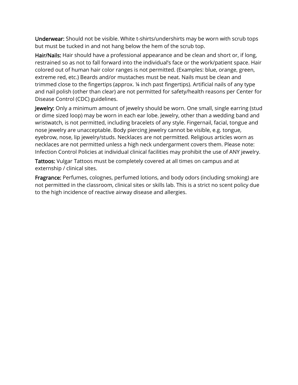Underwear: Should not be visible. White t-shirts/undershirts may be worn with scrub tops but must be tucked in and not hang below the hem of the scrub top.

Hair/Nails: Hair should have a professional appearance and be clean and short or, if long, restrained so as not to fall forward into the individual's face or the work/patient space. Hair colored out of human hair color ranges is not permitted. (Examples: blue, orange, green, extreme red, etc.) Beards and/or mustaches must be neat. Nails must be clean and trimmed close to the fingertips (approx. ¼ inch past fingertips). Artificial nails of any type and nail polish (other than clear) are not permitted for safety/health reasons per Center for Disease Control (CDC) guidelines.

Jewelry: Only a minimum amount of jewelry should be worn. One small, single earring (stud or dime sized loop) may be worn in each ear lobe. Jewelry, other than a wedding band and wristwatch, is not permitted, including bracelets of any style. Fingernail, facial, tongue and nose jewelry are unacceptable. Body piercing jewelry cannot be visible, e.g. tongue, eyebrow, nose, lip jewelry/studs. Necklaces are not permitted. Religious articles worn as necklaces are not permitted unless a high neck undergarment covers them. Please note: Infection Control Policies at individual clinical facilities may prohibit the use of ANY jewelry.

Tattoos: Vulgar Tattoos must be completely covered at all times on campus and at externship / clinical sites.

Fragrance: Perfumes, colognes, perfumed lotions, and body odors (including smoking) are not permitted in the classroom, clinical sites or skills lab. This is a strict no scent policy due to the high incidence of reactive airway disease and allergies.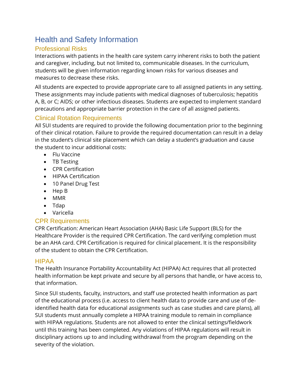# Health and Safety Information

# Professional Risks

Interactions with patients in the health care system carry inherent risks to both the patient and caregiver, including, but not limited to, communicable diseases. In the curriculum, students will be given information regarding known risks for various diseases and measures to decrease these risks.

All students are expected to provide appropriate care to all assigned patients in any setting. These assignments may include patients with medical diagnoses of tuberculosis; hepatitis A, B, or C; AIDS; or other infectious diseases. Students are expected to implement standard precautions and appropriate barrier protection in the care of all assigned patients.

# Clinical Rotation Requirements

All SUI students are required to provide the following documentation prior to the beginning of their clinical rotation. Failure to provide the required documentation can result in a delay in the student's clinical site placement which can delay a student's graduation and cause the student to incur additional costs:

- Flu Vaccine
- TB Testing
- CPR Certification
- HIPAA Certification
- 10 Panel Drug Test
- Hep B
- MMR
- Tdap
- Varicella

# CPR Requirements

CPR Certification: American Heart Association (AHA) Basic Life Support (BLS) for the Healthcare Provider is the required CPR Certification. The card verifying completion must be an AHA card. CPR Certification is required for clinical placement. It is the responsibility of the student to obtain the CPR Certification.

# HIPAA

The Health Insurance Portability Accountability Act (HIPAA) Act requires that all protected health information be kept private and secure by all persons that handle, or have access to, that information.

Since SUI students, faculty, instructors, and staff use protected health information as part of the educational process (i.e. access to client health data to provide care and use of deidentified health data for educational assignments such as case studies and care plans), all SUI students must annually complete a HIPAA training module to remain in compliance with HIPAA regulations. Students are not allowed to enter the clinical settings/fieldwork until this training has been completed. Any violations of HIPAA regulations will result in disciplinary actions up to and including withdrawal from the program depending on the severity of the violation.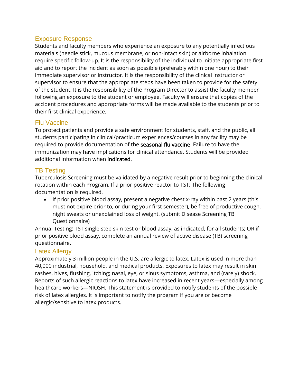### Exposure Response

Students and faculty members who experience an exposure to any potentially infectious materials (needle stick, mucous membrane, or non-intact skin) or airborne inhalation require specific follow-up. It is the responsibility of the individual to initiate appropriate first aid and to report the incident as soon as possible (preferably within one hour) to their immediate supervisor or instructor. It is the responsibility of the clinical instructor or supervisor to ensure that the appropriate steps have been taken to provide for the safety of the student. It is the responsibility of the Program Director to assist the faculty member following an exposure to the student or employee. Faculty will ensure that copies of the accident procedures and appropriate forms will be made available to the students prior to their first clinical experience.

## Flu Vaccine

To protect patients and provide a safe environment for students, staff, and the public, all students participating in clinical/practicum experiences/courses in any facility may be required to provide documentation of the seasonal flu vaccine. Failure to have the immunization may have implications for clinical attendance. Students will be provided additional information when indicated.

# TB Testing

Tuberculosis Screening must be validated by a negative result prior to beginning the clinical rotation within each Program. If a prior positive reactor to TST; The following documentation is required.

• If prior positive blood assay, present a negative chest x-ray within past 2 years (this must not expire prior to, or during your first semester), be free of productive cough, night sweats or unexplained loss of weight. (submit Disease Screening TB Questionnaire)

Annual Testing: TST single step skin test or blood assay, as indicated, for all students; OR if prior positive blood assay, complete an annual review of active disease (TB) screening questionnaire.

# Latex Allergy

Approximately 3 million people in the U.S. are allergic to latex. Latex is used in more than 40,000 industrial, household, and medical products. Exposures to latex may result in skin rashes, hives, flushing, itching; nasal, eye, or sinus symptoms, asthma, and (rarely) shock. Reports of such allergic reactions to latex have increased in recent years—especially among healthcare workers—NIOSH. This statement is provided to notify students of the possible risk of latex allergies. It is important to notify the program if you are or become allergic/sensitive to latex products.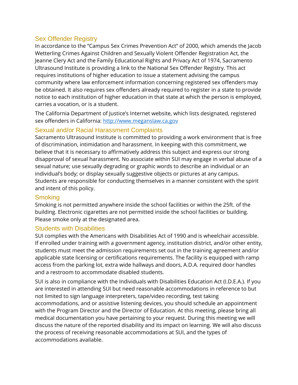## Sex Offender Registry

In accordance to the "Campus Sex Crimes Prevention Act" of 2000, which amends the Jacob Wetterling Crimes Against Children and Sexually Violent Offender Registration Act, the Jeanne Clery Act and the Family Educational Rights and Privacy Act of 1974, Sacramento Ultrasound Institute is providing a link to the National Sex Offender Registry. This act requires institutions of higher education to issue a statement advising the campus community where law enforcement information concerning registered sex offenders may be obtained. It also requires sex offenders already required to register in a state to provide notice to each institution of higher education in that state at which the person is employed, carries a vocation, or is a student.

The California Department of Justice's Internet website, which lists designated, registered sex offenders in California: [http://www.meganslaw.ca.gov](http://www.meganslaw.ca.gov/)

# Sexual and/or Racial Harassment Complaints

Sacramento Ultrasound Institute is committed to providing a work environment that is free of discrimination, intimidation and harassment. In keeping with this commitment, we believe that it is necessary to affirmatively address this subject and express our strong disapproval of sexual harassment. No associate within SUI may engage in verbal abuse of a sexual nature; use sexually degrading or graphic words to describe an individual or an individual's body; or display sexually suggestive objects or pictures at any campus. Students are responsible for conducting themselves in a manner consistent with the spirit and intent of this policy.

#### **Smoking**

Smoking is not permitted anywhere inside the school facilities or within the 25ft. of the building. Electronic cigarettes are not permitted inside the school facilities or building. Please smoke only at the designated area.

#### Students with Disabilities

SUI complies with the Americans with Disabilities Act of 1990 and is wheelchair accessible. If enrolled under training with a government agency, institution district, and/or other entity, students must meet the admission requirements set out in the training agreement and/or applicable state licensing or certifications requirements. The facility is equipped with ramp access from the parking lot, extra wide hallways and doors, A.D.A. required door handles and a restroom to accommodate disabled students.

SUI is also in compliance with the Individuals with Disabilities Education Act (I.D.E.A.). If you are interested in attending SUI but need reasonable accommodations in reference to but not limited to sign language interpreters, tape/video recording, test taking accommodations, and or assistive listening devices, you should schedule an appointment with the Program Director and the Director of Education. At this meeting, please bring all medical documentation you have pertaining to your request. During this meeting we will discuss the nature of the reported disability and its impact on learning. We will also discuss the process of receiving reasonable accommodations at SUI, and the types of accommodations available.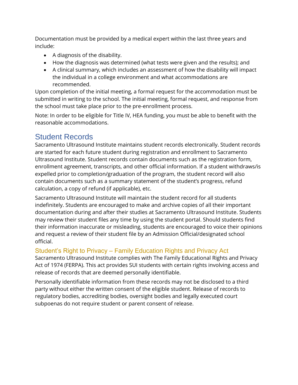Documentation must be provided by a medical expert within the last three years and include:

- A diagnosis of the disability.
- How the diagnosis was determined (what tests were given and the results); and
- A clinical summary, which includes an assessment of how the disability will impact the individual in a college environment and what accommodations are recommended.

Upon completion of the initial meeting, a formal request for the accommodation must be submitted in writing to the school. The initial meeting, formal request, and response from the school must take place prior to the pre-enrollment process.

Note: In order to be eligible for Title IV, HEA funding, you must be able to benefit with the reasonable accommodations.

# Student Records

Sacramento Ultrasound Institute maintains student records electronically. Student records are started for each future student during registration and enrollment to Sacramento Ultrasound Institute. Student records contain documents such as the registration form, enrollment agreement, transcripts, and other official information. If a student withdraws/is expelled prior to completion/graduation of the program, the student record will also contain documents such as a summary statement of the student's progress, refund calculation, a copy of refund (if applicable), etc.

Sacramento Ultrasound Institute will maintain the student record for all students indefinitely. Students are encouraged to make and archive copies of all their important documentation during and after their studies at Sacramento Ultrasound Institute. Students may review their student files any time by using the student portal. Should students find their information inaccurate or misleading, students are encouraged to voice their opinions and request a review of their student file by an Admission Official/designated school official.

# Student's Right to Privacy – Family Education Rights and Privacy Act

Sacramento Ultrasound Institute complies with The Family Educational Rights and Privacy Act of 1974 (FERPA). This act provides SUI students with certain rights involving access and release of records that are deemed personally identifiable.

Personally identifiable information from these records may not be disclosed to a third party without either the written consent of the eligible student. Release of records to regulatory bodies, accrediting bodies, oversight bodies and legally executed court subpoenas do not require student or parent consent of release.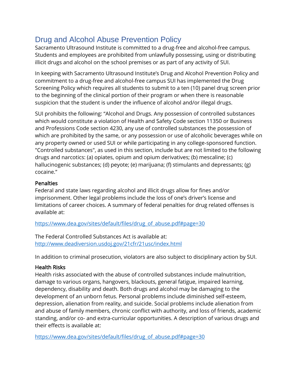# Drug and Alcohol Abuse Prevention Policy

Sacramento Ultrasound Institute is committed to a drug-free and alcohol-free campus. Students and employees are prohibited from unlawfully possessing, using or distributing illicit drugs and alcohol on the school premises or as part of any activity of SUI.

In keeping with Sacramento Ultrasound Institute's Drug and Alcohol Prevention Policy and commitment to a drug-free and alcohol-free campus SUI has implemented the Drug Screening Policy which requires all students to submit to a ten (10) panel drug screen prior to the beginning of the clinical portion of their program or when there is reasonable suspicion that the student is under the influence of alcohol and/or illegal drugs.

SUI prohibits the following: "Alcohol and Drugs. Any possession of controlled substances which would constitute a violation of Health and Safety Code section 11350 or Business and Professions Code section 4230, any use of controlled substances the possession of which are prohibited by the same, or any possession or use of alcoholic beverages while on any property owned or used SUI or while participating in any college-sponsored function. "Controlled substances", as used in this section, include but are not limited to the following drugs and narcotics: (a) opiates, opium and opium derivatives; (b) mescaline; (c) hallucinogenic substances; (d) peyote; (e) marijuana; (f) stimulants and depressants; (g) cocaine."

## **Penalties**

Federal and state laws regarding alcohol and illicit drugs allow for fines and/or imprisonment. Other legal problems include the loss of one's driver's license and limitations of career choices. A summary of federal penalties for drug related offenses is available at:

[https://www.dea.gov/sites/default/files/drug\\_of\\_abuse.pdf#page=30](https://www.dea.gov/sites/default/files/drug_of_abuse.pdf#page=30)

The Federal Controlled Substances Act is available at: <http://www.deadiversion.usdoj.gov/21cfr/21usc/index.html>

In addition to criminal prosecution, violators are also subject to disciplinary action by SUI.

# Health Risks

Health risks associated with the abuse of controlled substances include malnutrition, damage to various organs, hangovers, blackouts, general fatigue, impaired learning, dependency, disability and death. Both drugs and alcohol may be damaging to the development of an unborn fetus. Personal problems include diminished self-esteem, depression, alienation from reality, and suicide. Social problems include alienation from and abuse of family members, chronic conflict with authority, and loss of friends, academic standing, and/or co- and extra-curricular opportunities. A description of various drugs and their effects is available at:

[https://www.dea.gov/sites/default/files/drug\\_of\\_abuse.pdf#page=30](https://www.dea.gov/sites/default/files/drug_of_abuse.pdf#page=30)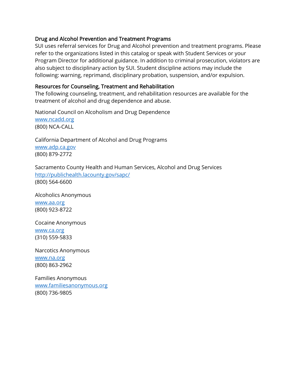#### Drug and Alcohol Prevention and Treatment Programs

SUI uses referral services for Drug and Alcohol prevention and treatment programs. Please refer to the organizations listed in this catalog or speak with Student Services or your Program Director for additional guidance. In addition to criminal prosecution, violators are also subject to disciplinary action by SUI. Student discipline actions may include the following: warning, reprimand, disciplinary probation, suspension, and/or expulsion.

#### Resources for Counseling, Treatment and Rehabilitation

The following counseling, treatment, and rehabilitation resources are available for the treatment of alcohol and drug dependence and abuse.

National Council on Alcoholism and Drug Dependence [www.ncadd.org](http://www.ncadd.org/) (800) NCA-CALL

California Department of Alcohol and Drug Programs [www.adp.ca.gov](http://www.adp.ca.gov/) (800) 879-2772

Sacramento County Health and Human Services, Alcohol and Drug Services <http://publichealth.lacounty.gov/sapc/> (800) 564-6600

Alcoholics Anonymous [www.aa.org](http://www.aa.org/) (800) 923-8722

Cocaine Anonymous [www.ca.org](http://www.ca.org/) (310) 559-5833

Narcotics Anonymous [www.na.org](http://www.na.org/) (800) 863-2962

Families Anonymous [www.familiesanonymous.org](http://www.familiesanonymous.org/) (800) 736-9805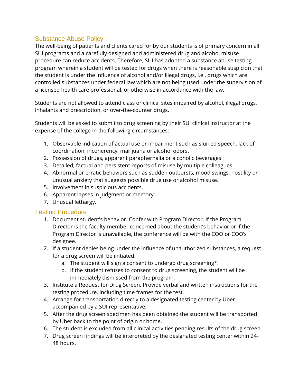# Substance Abuse Policy

The well-being of patients and clients cared for by our students is of primary concern in all SUI programs and a carefully designed and administered drug and alcohol misuse procedure can reduce accidents. Therefore, SUI has adopted a substance abuse testing program wherein a student will be tested for drugs when there is reasonable suspicion that the student is under the influence of alcohol and/or illegal drugs, i.e., drugs which are controlled substances under federal law which are not being used under the supervision of a licensed health care professional, or otherwise in accordance with the law.

Students are not allowed to attend class or clinical sites impaired by alcohol, illegal drugs, inhalants and prescription, or over-the-counter drugs.

Students will be asked to submit to drug screening by their SUI clinical instructor at the expense of the college in the following circumstances:

- 1. Observable indication of actual use or impairment such as slurred speech, lack of coordination, incoherency, marijuana or alcohol odors.
- 2. Possession of drugs, apparent paraphernalia or alcoholic beverages.
- 3. Detailed, factual and persistent reports of misuse by multiple colleagues.
- 4. Abnormal or erratic behaviors such as sudden outbursts, mood swings, hostility or unusual anxiety that suggests possible drug use or alcohol misuse.
- 5. Involvement in suspicious accidents.
- 6. Apparent lapses in judgment or memory.
- 7. Unusual lethargy.

# Testing Procedure

- 1. Document student's behavior. Confer with Program Director. If the Program Director is the faculty member concerned about the student's behavior or if the Program Director is unavailable, the conference will be with the COO or COO's designee.
- 2. If a student denies being under the influence of unauthorized substances, a request for a drug screen will be initiated.
	- a. The student will sign a consent to undergo drug screening\*.
	- b. If the student refuses to consent to drug screening, the student will be immediately dismissed from the program.
- 3. Institute a Request for Drug Screen. Provide verbal and written instructions for the testing procedure, including time frames for the test.
- 4. Arrange for transportation directly to a designated testing center by Uber accompanied by a SUI representative.
- 5. After the drug screen specimen has been obtained the student will be transported by Uber back to the point of origin or home.
- 6. The student is excluded from all clinical activities pending results of the drug screen.
- 7. Drug screen findings will be interpreted by the designated testing center within 24- 48 hours.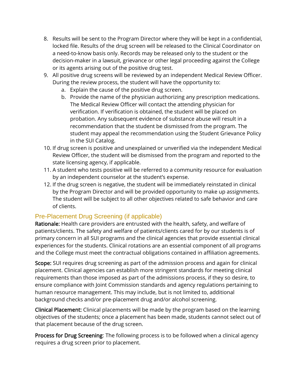- 8. Results will be sent to the Program Director where they will be kept in a confidential, locked file. Results of the drug screen will be released to the Clinical Coordinator on a need-to-know basis only. Records may be released only to the student or the decision-maker in a lawsuit, grievance or other legal proceeding against the College or its agents arising out of the positive drug test.
- 9. All positive drug screens will be reviewed by an independent Medical Review Officer. During the review process, the student will have the opportunity to:
	- a. Explain the cause of the positive drug screen.
	- b. Provide the name of the physician authorizing any prescription medications. The Medical Review Officer will contact the attending physician for verification. If verification is obtained, the student will be placed on probation. Any subsequent evidence of substance abuse will result in a recommendation that the student be dismissed from the program. The student may appeal the recommendation using the Student Grievance Policy in the SUI Catalog.
- 10. If drug screen is positive and unexplained or unverified via the independent Medical Review Officer, the student will be dismissed from the program and reported to the state licensing agency, if applicable.
- 11. A student who tests positive will be referred to a community resource for evaluation by an independent counselor at the student's expense.
- 12. If the drug screen is negative, the student will be immediately reinstated in clinical by the Program Director and will be provided opportunity to make up assignments. The student will be subject to all other objectives related to safe behavior and care of clients.

# Pre-Placement Drug Screening (if applicable)

Rationale: Health care providers are entrusted with the health, safety, and welfare of patients/clients. The safety and welfare of patients/clients cared for by our students is of primary concern in all SUI programs and the clinical agencies that provide essential clinical experiences for the students. Clinical rotations are an essential component of all programs and the College must meet the contractual obligations contained in affiliation agreements.

Scope: SUI requires drug screening as part of the admission process and again for clinical placement. Clinical agencies can establish more stringent standards for meeting clinical requirements than those imposed as part of the admissions process, if they so desire, to ensure compliance with Joint Commission standards and agency regulations pertaining to human resource management. This may include, but is not limited to, additional background checks and/or pre-placement drug and/or alcohol screening.

Clinical Placement: Clinical placements will be made by the program based on the learning objectives of the students; once a placement has been made, students cannot select out of that placement because of the drug screen.

Process for Drug Screening: The following process is to be followed when a clinical agency requires a drug screen prior to placement.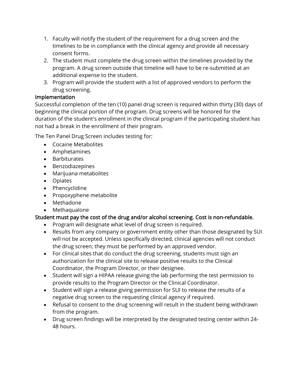- 1. Faculty will notify the student of the requirement for a drug screen and the timelines to be in compliance with the clinical agency and provide all necessary consent forms.
- 2. The student must complete the drug screen within the timelines provided by the program. A drug screen outside that timeline will have to be re-submitted at an additional expense to the student.
- 3. Program will provide the student with a list of approved vendors to perform the drug screening.

#### Implementation

Successful completion of the ten (10) panel drug screen is required within thirty (30) days of beginning the clinical portion of the program. Drug screens will be honored for the duration of the student's enrollment in the clinical program if the participating student has not had a break in the enrollment of their program.

The Ten Panel Drug Screen includes testing for:

- Cocaine Metabolites
- Amphetamines
- Barbiturates
- Benzodiazepines
- Marijuana metabolites
- Opiates
- Phencyclidine
- Propoxyphene metabolite
- Methadone
- Methaqualone

#### Student must pay the cost of the drug and/or alcohol screening. Cost is non-refundable.

- Program will designate what level of drug screen is required.
- Results from any company or government entity other than those designated by SUI will not be accepted. Unless specifically directed, clinical agencies will not conduct the drug screen; they must be performed by an approved vendor.
- For clinical sites that do conduct the drug screening, students must sign an authorization for the clinical site to release positive results to the Clinical Coordinator, the Program Director, or their designee.
- Student will sign a HIPAA release giving the lab performing the test permission to provide results to the Program Director or the Clinical Coordinator.
- Student will sign a release giving permission for SUI to release the results of a negative drug screen to the requesting clinical agency if required.
- Refusal to consent to the drug screening will result in the student being withdrawn from the program.
- Drug screen findings will be interpreted by the designated testing center within 24- 48 hours.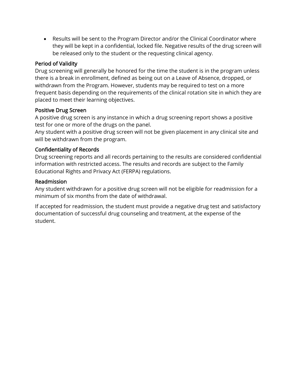• Results will be sent to the Program Director and/or the Clinical Coordinator where they will be kept in a confidential, locked file. Negative results of the drug screen will be released only to the student or the requesting clinical agency.

## Period of Validity

Drug screening will generally be honored for the time the student is in the program unless there is a break in enrollment, defined as being out on a Leave of Absence, dropped, or withdrawn from the Program. However, students may be required to test on a more frequent basis depending on the requirements of the clinical rotation site in which they are placed to meet their learning objectives.

## Positive Drug Screen

A positive drug screen is any instance in which a drug screening report shows a positive test for one or more of the drugs on the panel.

Any student with a positive drug screen will not be given placement in any clinical site and will be withdrawn from the program.

# Confidentiality of Records

Drug screening reports and all records pertaining to the results are considered confidential information with restricted access. The results and records are subject to the Family Educational Rights and Privacy Act (FERPA) regulations.

## Readmission

Any student withdrawn for a positive drug screen will not be eligible for readmission for a minimum of six months from the date of withdrawal.

If accepted for readmission, the student must provide a negative drug test and satisfactory documentation of successful drug counseling and treatment, at the expense of the student.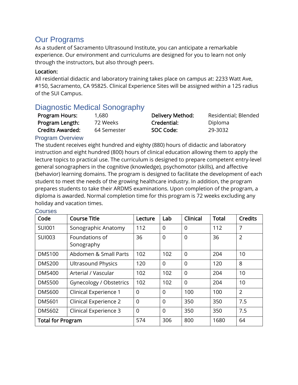# Our Programs

As a student of Sacramento Ultrasound Institute, you can anticipate a remarkable experience. Our environment and curriculums are designed for you to learn not only through the instructors, but also through peers.

#### Location:

All residential didactic and laboratory training takes place on campus at: 2233 Watt Ave, #150, Sacramento, CA 95825. Clinical Experience Sites will be assigned within a 125 radius of the SUI Campus.

# Diagnostic Medical Sonography

| Program Hours:          | 1,680       | Delivery Method: | Residential; Blended |
|-------------------------|-------------|------------------|----------------------|
| Program Length:         | 72 Weeks    | Credential:      | Diploma              |
| <b>Credits Awarded:</b> | 64 Semester | SOC Code:        | 29-3032              |

#### Program Overview

The student receives eight hundred and eighty (880) hours of didactic and laboratory instruction and eight hundred (800) hours of clinical education allowing them to apply the lecture topics to practical use. The curriculum is designed to prepare competent entry-level general sonographers in the cognitive (knowledge), psychomotor (skills), and affective (behavior) learning domains. The program is designed to facilitate the development of each student to meet the needs of the growing healthcare industry. In addition, the program prepares students to take their ARDMS examinations. Upon completion of the program, a diploma is awarded. Normal completion time for this program is 72 weeks excluding any holiday and vacation times.

| Code                                   | <b>Course Title</b>          | Lecture  | Lab            | Clinical       | <b>Total</b> | <b>Credits</b> |
|----------------------------------------|------------------------------|----------|----------------|----------------|--------------|----------------|
| <b>SUI001</b>                          | Sonographic Anatomy          |          | $\overline{0}$ | $\overline{0}$ | 112          | $\overline{7}$ |
| <b>SUI003</b>                          | Foundations of<br>Sonography |          | $\overline{0}$ | $\overline{0}$ | 36           | $\overline{2}$ |
| <b>DMS100</b>                          | Abdomen & Small Parts        | 102      | 102            | $\Omega$       | 204          | 10             |
| <b>DMS200</b>                          | <b>Ultrasound Physics</b>    | 120      | $\Omega$       | $\overline{0}$ | 120          | 8              |
| <b>DMS400</b>                          | Arterial / Vascular          | 102      | 102            | $\overline{0}$ | 204          | 10             |
| <b>DMS500</b>                          | Gynecology / Obstetrics      | 102      | 102            | $\overline{0}$ | 204          | 10             |
| <b>DMS600</b>                          | Clinical Experience 1        | $\Omega$ | $\Omega$       | 100            | 100          | $\overline{2}$ |
| <b>DMS601</b>                          | Clinical Experience 2        | $\Omega$ | $\Omega$       | 350            | 350          | 7.5            |
| Clinical Experience 3<br><b>DMS602</b> |                              | $\Omega$ | $\Omega$       | 350            | 350          | 7.5            |
| <b>Total for Program</b>               |                              | 574      | 306            | 800            | 1680         | 64             |

**Courses**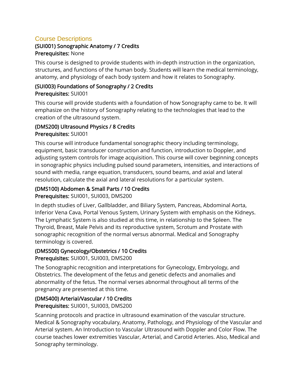# Course Descriptions

#### (SUI001) Sonographic Anatomy / 7 Credits Prerequisites: None

This course is designed to provide students with in-depth instruction in the organization, structures, and functions of the human body. Students will learn the medical terminology, anatomy, and physiology of each body system and how it relates to Sonography.

#### (SUI003) Foundations of Sonography / 2 Credits Prerequisites: SUI001

This course will provide students with a foundation of how Sonography came to be. It will emphasize on the history of Sonography relating to the technologies that lead to the creation of the ultrasound system.

## (DMS200) Ultrasound Physics / 8 Credits Prerequisites: SUI001

This course will introduce fundamental sonographic theory including terminology, equipment, basic transducer construction and function, introduction to Doppler, and adjusting system controls for image acquisition. This course will cover beginning concepts in sonographic physics including pulsed sound parameters, intensities, and interactions of sound with media, range equation, transducers, sound beams, and axial and lateral resolution, calculate the axial and lateral resolutions for a particular system.

# (DMS100) Abdomen & Small Parts / 10 Credits

Prerequisites: SUI001, SUI003, DMS200

In depth studies of Liver, Gallbladder, and Biliary System, Pancreas, Abdominal Aorta, Inferior Vena Cava, Portal Venous System, Urinary System with emphasis on the Kidneys. The Lymphatic System is also studied at this time, in relationship to the Spleen. The Thyroid, Breast, Male Pelvis and its reproductive system, Scrotum and Prostate with sonographic recognition of the normal versus abnormal. Medical and Sonography terminology is covered.

# (DMS500) Gynecology/Obstetrics / 10 Credits

Prerequisites: SUI001, SUI003, DMS200

The Sonographic recognition and interpretations for Gynecology, Embryology, and Obstetrics. The development of the fetus and genetic defects and anomalies and abnormality of the fetus. The normal verses abnormal throughout all terms of the pregnancy are presented at this time.

# (DMS400) Arterial/Vascular / 10 Credits

Prerequisites: SUI001, SUI003, DMS200

Scanning protocols and practice in ultrasound examination of the vascular structure. Medical & Sonography vocabulary, Anatomy, Pathology, and Physiology of the Vascular and Arterial system. An Introduction to Vascular Ultrasound with Doppler and Color Flow. The course teaches lower extremities Vascular, Arterial, and Carotid Arteries. Also, Medical and Sonography terminology.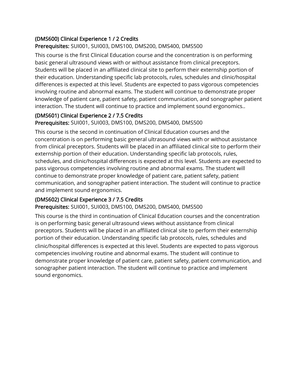# (DMS600) Clinical Experience 1 / 2 Credits

#### Prerequisites: SUI001, SUI003, DMS100, DMS200, DMS400, DMS500

This course is the first Clinical Education course and the concentration is on performing basic general ultrasound views with or without assistance from clinical preceptors. Students will be placed in an affiliated clinical site to perform their externship portion of their education. Understanding specific lab protocols, rules, schedules and clinic/hospital differences is expected at this level. Students are expected to pass vigorous competencies involving routine and abnormal exams. The student will continue to demonstrate proper knowledge of patient care, patient safety, patient communication, and sonographer patient interaction. The student will continue to practice and implement sound ergonomics..

## (DMS601) Clinical Experience 2 / 7.5 Credits

#### Prerequisites: SUI001, SUI003, DMS100, DMS200, DMS400, DMS500

This course is the second in continuation of Clinical Education courses and the concentration is on performing basic general ultrasound views with or without assistance from clinical preceptors. Students will be placed in an affiliated clinical site to perform their externship portion of their education. Understanding specific lab protocols, rules, schedules, and clinic/hospital differences is expected at this level. Students are expected to pass vigorous competencies involving routine and abnormal exams. The student will continue to demonstrate proper knowledge of patient care, patient safety, patient communication, and sonographer patient interaction. The student will continue to practice and implement sound ergonomics.

# (DMS602) Clinical Experience 3 / 7.5 Credits

#### Prerequisites: SUI001, SUI003, DMS100, DMS200, DMS400, DMS500

This course is the third in continuation of Clinical Education courses and the concentration is on performing basic general ultrasound views without assistance from clinical preceptors. Students will be placed in an affiliated clinical site to perform their externship portion of their education. Understanding specific lab protocols, rules, schedules and clinic/hospital differences is expected at this level. Students are expected to pass vigorous competencies involving routine and abnormal exams. The student will continue to demonstrate proper knowledge of patient care, patient safety, patient communication, and sonographer patient interaction. The student will continue to practice and implement sound ergonomics.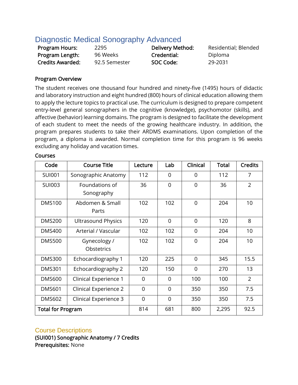## Diagnostic Medical Sonography Advanced

| <b>Program Hours:</b>   | 2295          | Delivery Method: | Resident |
|-------------------------|---------------|------------------|----------|
| Program Length:         | 96 Weeks      | Credential:      | Diploma  |
| <b>Credits Awarded:</b> | 92.5 Semester | SOC Code:        | 29-2031  |

sidential; Blended

#### Program Overview

The student receives one thousand four hundred and ninety-five (1495) hours of didactic and laboratory instruction and eight hundred (800) hours of clinical education allowing them to apply the lecture topics to practical use. The curriculum is designed to prepare competent entry-level general sonographers in the cognitive (knowledge), psychomotor (skills), and affective (behavior) learning domains. The program is designed to facilitate the development of each student to meet the needs of the growing healthcare industry. In addition, the program prepares students to take their ARDMS examinations. Upon completion of the program, a diploma is awarded. Normal completion time for this program is 96 weeks excluding any holiday and vacation times.

| Code                     | <b>Course Title</b>          | Lecture        | Lab            | Clinical       | <b>Total</b> | <b>Credits</b> |
|--------------------------|------------------------------|----------------|----------------|----------------|--------------|----------------|
| <b>SUI001</b>            | Sonographic Anatomy          | 112            | $\Omega$       | $\Omega$       | 112          | $\overline{7}$ |
| <b>SUI003</b>            | Foundations of<br>Sonography | 36             | 0              | $\overline{0}$ | 36           | $\overline{2}$ |
| <b>DMS100</b>            | Abdomen & Small<br>Parts     | 102            | 102            | $\overline{0}$ | 204          | 10             |
| <b>DMS200</b>            | <b>Ultrasound Physics</b>    | 120            | $\overline{0}$ | $\overline{0}$ | 120          | 8              |
| <b>DMS400</b>            | Arterial / Vascular          | 102            | 102            | $\Omega$       | 204          | 10             |
| <b>DMS500</b>            | Gynecology /<br>Obstetrics   | 102            | 102            | $\Omega$       | 204          | 10             |
| <b>DMS300</b>            | Echocardiography 1           | 120            | 225            | $\Omega$       | 345          | 15.5           |
| <b>DMS301</b>            | Echocardiography 2           | 120            | 150            | $\overline{0}$ | 270          | 13             |
| <b>DMS600</b>            | Clinical Experience 1        | $\overline{0}$ | $\overline{0}$ | 100            | 100          | $\overline{2}$ |
| <b>DMS601</b>            | Clinical Experience 2        | $\overline{0}$ | $\overline{0}$ | 350            | 350          | 7.5            |
| <b>DMS602</b>            | Clinical Experience 3        | $\overline{0}$ | $\overline{0}$ | 350            | 350          | 7.5            |
| <b>Total for Program</b> |                              | 814            | 681            | 800            | 2,295        | 92.5           |

#### Courses

#### Course Descriptions

(SUI001) Sonographic Anatomy / 7 Credits Prerequisites: None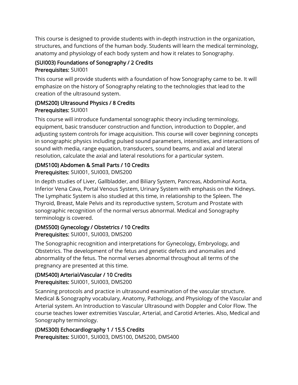This course is designed to provide students with in-depth instruction in the organization, structures, and functions of the human body. Students will learn the medical terminology, anatomy and physiology of each body system and how it relates to Sonography.

## (SUI003) Foundations of Sonography / 2 Credits Prerequisites: SUI001

This course will provide students with a foundation of how Sonography came to be. It will emphasize on the history of Sonography relating to the technologies that lead to the creation of the ultrasound system.

### (DMS200) Ultrasound Physics / 8 Credits Prerequisites: SUI001

This course will introduce fundamental sonographic theory including terminology, equipment, basic transducer construction and function, introduction to Doppler, and adjusting system controls for image acquisition. This course will cover beginning concepts in sonographic physics including pulsed sound parameters, intensities, and interactions of sound with media, range equation, transducers, sound beams, and axial and lateral resolution, calculate the axial and lateral resolutions for a particular system.

# (DMS100) Abdomen & Small Parts / 10 Credits

Prerequisites: SUI001, SUI003, DMS200

In depth studies of Liver, Gallbladder, and Biliary System, Pancreas, Abdominal Aorta, Inferior Vena Cava, Portal Venous System, Urinary System with emphasis on the Kidneys. The Lymphatic System is also studied at this time, in relationship to the Spleen. The Thyroid, Breast, Male Pelvis and its reproductive system, Scrotum and Prostate with sonographic recognition of the normal versus abnormal. Medical and Sonography terminology is covered.

## (DMS500) Gynecology / Obstetrics / 10 Credits

Prerequisites: SUI001, SUI003, DMS200

The Sonographic recognition and interpretations for Gynecology, Embryology, and Obstetrics. The development of the fetus and genetic defects and anomalies and abnormality of the fetus. The normal verses abnormal throughout all terms of the pregnancy are presented at this time.

## (DMS400) Arterial/Vascular / 10 Credits

Prerequisites: SUI001, SUI003, DMS200

Scanning protocols and practice in ultrasound examination of the vascular structure. Medical & Sonography vocabulary, Anatomy, Pathology, and Physiology of the Vascular and Arterial system. An Introduction to Vascular Ultrasound with Doppler and Color Flow. The course teaches lower extremities Vascular, Arterial, and Carotid Arteries. Also, Medical and Sonography terminology.

## (DMS300) Echocardiography 1 / 15.5 Credits

Prerequisites: SUI001, SUI003, DMS100, DMS200, DMS400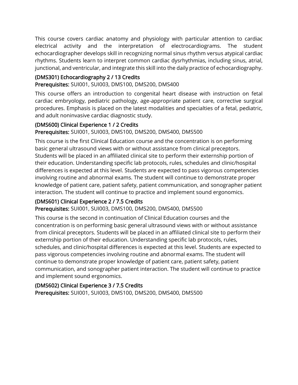This course covers cardiac anatomy and physiology with particular attention to cardiac electrical activity and the interpretation of electrocardiograms. The student echocardiographer develops skill in recognizing normal sinus rhythm versus atypical cardiac rhythms. Students learn to interpret common cardiac dysrhythmias, including sinus, atrial, junctional, and ventricular, and integrate this skill into the daily practice of echocardiography.

## (DMS301) Echocardiography 2 / 13 Credits

### Prerequisites: SUI001, SUI003, DMS100, DMS200, DMS400

This course offers an introduction to congenital heart disease with instruction on fetal cardiac embryology, pediatric pathology, age-appropriate patient care, corrective surgical procedures. Emphasis is placed on the latest modalities and specialties of a fetal, pediatric, and adult noninvasive cardiac diagnostic study.

### (DMS600) Clinical Experience 1 / 2 Credits

### Prerequisites: SUI001, SUI003, DMS100, DMS200, DMS400, DMS500

This course is the first Clinical Education course and the concentration is on performing basic general ultrasound views with or without assistance from clinical preceptors. Students will be placed in an affiliated clinical site to perform their externship portion of their education. Understanding specific lab protocols, rules, schedules and clinic/hospital differences is expected at this level. Students are expected to pass vigorous competencies involving routine and abnormal exams. The student will continue to demonstrate proper knowledge of patient care, patient safety, patient communication, and sonographer patient interaction. The student will continue to practice and implement sound ergonomics.

### (DMS601) Clinical Experience 2 / 7.5 Credits

### Prerequisites: SUI001, SUI003, DMS100, DMS200, DMS400, DMS500

This course is the second in continuation of Clinical Education courses and the concentration is on performing basic general ultrasound views with or without assistance from clinical preceptors. Students will be placed in an affiliated clinical site to perform their externship portion of their education. Understanding specific lab protocols, rules, schedules, and clinic/hospital differences is expected at this level. Students are expected to pass vigorous competencies involving routine and abnormal exams. The student will continue to demonstrate proper knowledge of patient care, patient safety, patient communication, and sonographer patient interaction. The student will continue to practice and implement sound ergonomics.

### (DMS602) Clinical Experience 3 / 7.5 Credits

Prerequisites: SUI001, SUI003, DMS100, DMS200, DMS400, DMS500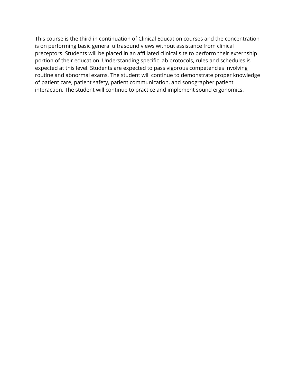This course is the third in continuation of Clinical Education courses and the concentration is on performing basic general ultrasound views without assistance from clinical preceptors. Students will be placed in an affiliated clinical site to perform their externship portion of their education. Understanding specific lab protocols, rules and schedules is expected at this level. Students are expected to pass vigorous competencies involving routine and abnormal exams. The student will continue to demonstrate proper knowledge of patient care, patient safety, patient communication, and sonographer patient interaction. The student will continue to practice and implement sound ergonomics.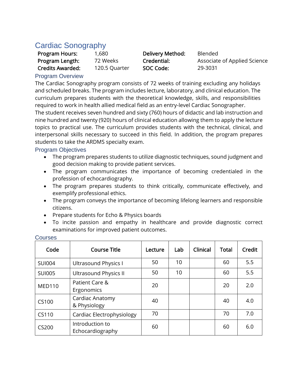## Cardiac Sonography

| <b>Program Hours:</b>   | 1,680 |
|-------------------------|-------|
| Program Length:         | 72 W  |
| <b>Credits Awarded:</b> | 120.5 |

Program Hours: 1,680 Delivery Method: Blended 5 Quarter **SOC Code:** 29-3031

Program Credential: *Associate of Applied Science* 

### Program Overview

The Cardiac Sonography program consists of 72 weeks of training excluding any holidays and scheduled breaks. The program includes lecture, laboratory, and clinical education. The curriculum prepares students with the theoretical knowledge, skills, and responsibilities required to work in health allied medical field as an entry-level Cardiac Sonographer.

The student receives seven hundred and sixty (760) hours of didactic and lab instruction and nine hundred and twenty (920) hours of clinical education allowing them to apply the lecture topics to practical use. The curriculum provides students with the technical, clinical, and interpersonal skills necessary to succeed in this field. In addition, the program prepares students to take the ARDMS specialty exam.

### Program Objectives

- The program prepares students to utilize diagnostic techniques, sound judgment and good decision making to provide patient services.
- The program communicates the importance of becoming credentialed in the profession of echocardiography.
- The program prepares students to think critically, communicate effectively, and exemplify professional ethics.
- The program conveys the importance of becoming lifelong learners and responsible citizens.
- Prepare students for Echo & Physics boards
- To incite passion and empathy in healthcare and provide diagnostic correct examinations for improved patient outcomes.

| Code          | <b>Course Title</b>                 | Lecture | Lab | Clinical | <b>Total</b> | Credit |
|---------------|-------------------------------------|---------|-----|----------|--------------|--------|
| <b>SUI004</b> | Ultrasound Physics I                | 50      | 10  |          | 60           | 5.5    |
| <b>SUI005</b> | <b>Ultrasound Physics II</b>        | 50      | 10  |          | 60           | 5.5    |
| <b>MED110</b> | Patient Care &<br>Ergonomics        | 20      |     |          | 20           | 2.0    |
| CS100         | Cardiac Anatomy<br>& Physiology     | 40      |     |          | 40           | 4.0    |
| CS110         | Cardiac Electrophysiology           | 70      |     |          | 70           | 7.0    |
| <b>CS200</b>  | Introduction to<br>Echocardiography | 60      |     |          | 60           | 6.0    |

#### Courses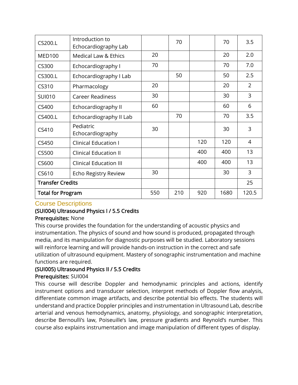| CS200.L                  | Introduction to<br>Echocardiography Lab |     | 70  |     | 70   | 3.5            |
|--------------------------|-----------------------------------------|-----|-----|-----|------|----------------|
| <b>MED100</b>            | <b>Medical Law &amp; Ethics</b>         | 20  |     |     | 20   | 2.0            |
| CS300                    | Echocardiography I                      | 70  |     |     | 70   | 7.0            |
| CS300.L                  | Echocardiography I Lab                  |     | 50  |     | 50   | 2.5            |
| CS310                    | Pharmacology                            | 20  |     |     | 20   | 2              |
| <b>SUI010</b>            | <b>Career Readiness</b>                 | 30  |     |     | 30   | 3              |
| CS400                    | Echocardiography II                     | 60  |     |     | 60   | 6              |
| CS400.L                  | Echocardiography II Lab                 |     | 70  |     | 70   | 3.5            |
| CS410                    | Pediatric<br>Echocardiography           | 30  |     |     | 30   | $\mathsf{3}$   |
| CS450                    | <b>Clinical Education I</b>             |     |     | 120 | 120  | $\overline{4}$ |
| CS500                    | <b>Clinical Education II</b>            |     |     | 400 | 400  | 13             |
| CS600                    | <b>Clinical Education III</b>           |     |     | 400 | 400  | 13             |
| CS610                    | <b>Echo Registry Review</b>             | 30  |     |     | 30   | 3              |
| <b>Transfer Credits</b>  |                                         |     |     |     |      | 25             |
| <b>Total for Program</b> |                                         | 550 | 210 | 920 | 1680 | 120.5          |

### Course Descriptions

## (SUI004) Ultrasound Physics I / 5.5 Credits

### Prerequisites: None

This course provides the foundation for the understanding of acoustic physics and instrumentation. The physics of sound and how sound is produced, propagated through media, and its manipulation for diagnostic purposes will be studied. Laboratory sessions will reinforce learning and will provide hands-on instruction in the correct and safe utilization of ultrasound equipment. Mastery of sonographic instrumentation and machine functions are required.

## (SUI005) Ultrasound Physics II / 5.5 Credits

### Prerequisites: SUI004

This course will describe Doppler and hemodynamic principles and actions, identify instrument options and transducer selection, interpret methods of Doppler flow analysis, differentiate common image artifacts, and describe potential bio effects. The students will understand and practice Doppler principles and instrumentation in Ultrasound Lab, describe arterial and venous hemodynamics, anatomy, physiology, and sonographic interpretation, describe Bernoulli's law, Poiseuille's law, pressure gradients and Reynold's number. This course also explains instrumentation and image manipulation of different types of display.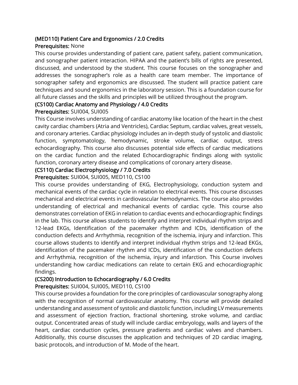### (MED110) Patient Care and Ergonomics / 2.0 Credits

### Prerequisites: None

This course provides understanding of patient care, patient safety, patient communication, and sonographer patient interaction. HIPAA and the patient's bills of rights are presented, discussed, and understood by the student. This course focuses on the sonographer and addresses the sonographer's role as a health care team member. The importance of sonographer safety and ergonomics are discussed. The student will practice patient care techniques and sound ergonomics in the laboratory session. This is a foundation course for all future classes and the skills and principles will be utilized throughout the program.

### (CS100) Cardiac Anatomy and Physiology / 4.0 Credits

### Prerequisites: SUI004, SUI005

This Course involves understanding of cardiac anatomy like location of the heart in the chest cavity cardiac chambers (Atria and Ventricles), Cardiac Septum, cardiac valves, great vessels, and coronary arteries. Cardiac physiology includes an in-depth study of systolic and diastolic function, symptomatology, hemodynamic, stroke volume, cardiac output, stress echocardiography. This course also discusses potential side effects of cardiac medications on the cardiac function and the related Echocardiographic findings along with systolic function, coronary artery disease and complications of coronary artery disease.

#### (CS110) Cardiac Electrophysiology / 7.0 Credits

### Prerequisites: SUI004, SUI005, MED110, CS100

This course provides understanding of EKG, Electrophysiology, conduction system and mechanical events of the cardiac cycle in relation to electrical events. This course discusses mechanical and electrical events in cardiovascular hemodynamics. The course also provides understanding of electrical and mechanical events of cardiac cycle. This course also demonstrates correlation of EKG in relation to cardiac events and echocardiographic findings in the lab. This course allows students to identify and interpret individual rhythm strips and 12-lead EKGs, Identification of the pacemaker rhythm and ICDs, identification of the conduction defects and Arrhythmia, recognition of the ischemia, injury and infarction. This course allows students to identify and interpret individual rhythm strips and 12-lead EKGs, identification of the pacemaker rhythm and ICDs, identification of the conduction defects and Arrhythmia, recognition of the ischemia, injury and infarction. This Course involves understanding how cardiac medications can relate to certain EKG and echocardiographic findings.

### (CS200) Introduction to Echocardiography / 6.0 Credits

Prerequisites: SUI004, SUI005, MED110, CS100

This course provides a foundation for the core principles of cardiovascular sonography along with the recognition of normal cardiovascular anatomy. This course will provide detailed understanding and assessment of systolic and diastolic function, including LV measurements and assessment of ejection fraction, fractional shortening, stroke volume, and cardiac output. Concentrated areas of study will include cardiac embryology, walls and layers of the heart, cardiac conduction cycles, pressure gradients and cardiac valves and chambers. Additionally, this course discusses the application and techniques of 2D cardiac imaging, basic protocols, and introduction of M. Mode of the heart.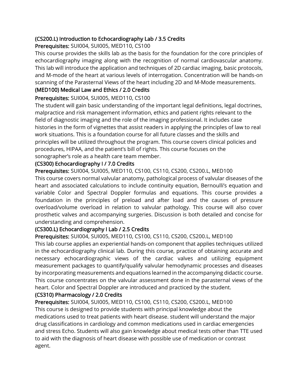### (CS200.L) Introduction to Echocardiography Lab / 3.5 Credits

Prerequisites: SUI004, SUI005, MED110, CS100

This course provides the skills lab as the basis for the foundation for the core principles of echocardiography imaging along with the recognition of normal cardiovascular anatomy. This lab will introduce the application and techniques of 2D cardiac imaging, basic protocols, and M-mode of the heart at various levels of interrogation. Concentration will be hands-on scanning of the Parasternal Views of the heart including 2D and M-Mode measurements.

### (MED100) Medical Law and Ethics / 2.0 Credits

Prerequisites: SUI004, SUI005, MED110, CS100

The student will gain basic understanding of the important legal definitions, legal doctrines, malpractice and risk management information, ethics and patient rights relevant to the field of diagnostic imaging and the role of the imaging professional. It includes case histories in the form of vignettes that assist readers in applying the principles of law to real work situations. This is a foundation course for all future classes and the skills and principles will be utilized throughout the program. This course covers clinical policies and procedures, HIPAA, and the patient's bill of rights. This course focuses on the sonographer's role as a health care team member.

## (CS300) Echocardiography I / 7.0 Credits

Prerequisites: SUI004, SUI005, MED110, CS100, CS110, CS200, CS200.L, MED100

This course covers normal valvular anatomy, pathological process of valvular diseases of the heart and associated calculations to include continuity equation, Bernoulli's equation and variable Color and Spectral Doppler formulas and equations. This course provides a foundation in the principles of preload and after load and the causes of pressure overload/volume overload in relation to valvular pathology. This course will also cover prosthetic valves and accompanying surgeries. Discussion is both detailed and concise for understanding and comprehension.

### (CS300.L) Echocardiography I Lab / 2.5 Credits

Prerequisites: SUI004, SUI005, MED110, CS100, CS110, CS200, CS200.L, MED100

This lab course applies an experiential hands-on component that applies techniques utilized in the echocardiography clinical lab. During this course, practice of obtaining accurate and necessary echocardiographic views of the cardiac valves and utilizing equipment measurement packages to quantify/qualify valvular hemodynamic processes and diseases by incorporating measurements and equations learned in the accompanying didactic course. This course concentrates on the valvular assessment done in the parasternal views of the heart. Color and Spectral Doppler are introduced and practiced by the student.

### (CS310) Pharmacology / 2.0 Credits

Prerequisites: SUI004, SUI005, MED110, CS100, CS110, CS200, CS200.L, MED100 This course is designed to provide students with principal knowledge about the medications used to treat patients with heart disease. student will understand the major drug classifications in cardiology and common medications used in cardiac emergencies and stress Echo. Students will also gain knowledge about medical tests other than TTE used to aid with the diagnosis of heart disease with possible use of medication or contrast agent.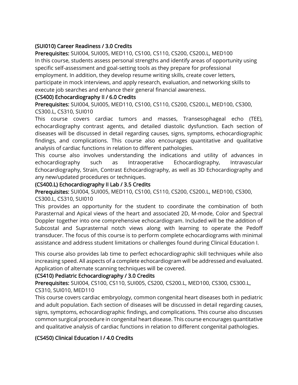## (SUI010) Career Readiness / 3.0 Credits

Prerequisites: SUI004, SUI005, MED110, CS100, CS110, CS200, CS200.L, MED100 In this course, students assess personal strengths and identify areas of opportunity using specific self-assessment and goal-setting tools as they prepare for professional employment. In addition, they develop resume writing skills, create cover letters, participate in mock interviews, and apply research, evaluation, and networking skills to execute job searches and enhance their general financial awareness.

### (CS400) Echocardiography II / 6.0 Credits

Prerequisites: SUI004, SUI005, MED110, CS100, CS110, CS200, CS200.L, MED100, CS300, CS300.L, CS310, SUI010

This course covers cardiac tumors and masses, Transesophageal echo (TEE), echocardiography contrast agents, and detailed diastolic dysfunction. Each section of diseases will be discussed in detail regarding causes, signs, symptoms, echocardiographic findings, and complications. This course also encourages quantitative and qualitative analysis of cardiac functions in relation to different pathologies.

This course also involves understanding the indications and utility of advances in echocardiography such as Intraoperative Echocardiography, Intravascular Echocardiography, Strain, Contrast Echocardiography, as well as 3D Echocardiography and any new/updated procedures or techniques.

### (CS400.L) Echocardiography II Lab / 3.5 Credits

Prerequisites: SUI004, SUI005, MED110, CS100, CS110, CS200, CS200.L, MED100, CS300, CS300.L, CS310, SUI010

This provides an opportunity for the student to coordinate the combination of both Parasternal and Apical views of the heart and associated 2D, M-mode, Color and Spectral Doppler together into one comprehensive echocardiogram. Included will be the addition of Subcostal and Suprasternal notch views along with learning to operate the Pedoff transducer. The focus of this course is to perform complete echocardiograms with minimal assistance and address student limitations or challenges found during Clinical Education I.

This course also provides lab time to perfect echocardiographic skill techniques while also increasing speed. All aspects of a complete echocardiogram will be addressed and evaluated. Application of alternate scanning techniques will be covered.

### (CS410) Pediatric Echocardiography / 3.0 Credits

Prerequisites: SUI004, CS100, CS110, SUI005, CS200, CS200.L, MED100, CS300, CS300.L, CS310, SUI010, MED110

This course covers cardiac embryology, common congenital heart diseases both in pediatric and adult population. Each section of diseases will be discussed in detail regarding causes, signs, symptoms, echocardiographic findings, and complications. This course also discusses common surgical procedure in congenital heart disease. This course encourages quantitative and qualitative analysis of cardiac functions in relation to different congenital pathologies.

### (CS450) Clinical Education I / 4.0 Credits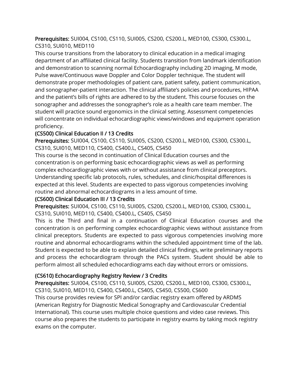Prerequisites: SUI004, CS100, CS110, SUI005, CS200, CS200.L, MED100, CS300, CS300.L, CS310, SUI010, MED110

This course transitions from the laboratory to clinical education in a medical imaging department of an affiliated clinical facility. Students transition from landmark identification and demonstration to scanning normal Echocardiography including 2D imaging, M mode, Pulse wave/Continuous wave Doppler and Color Doppler technique. The student will demonstrate proper methodologies of patient care, patient safety, patient communication, and sonographer-patient interaction. The clinical affiliate's policies and procedures, HIPAA and the patient's bills of rights are adhered to by the student. This course focuses on the sonographer and addresses the sonographer's role as a health care team member. The student will practice sound ergonomics in the clinical setting. Assessment competencies will concentrate on individual echocardiographic views/windows and equipment operation proficiency.

### (CS500) Clinical Education II / 13 Credits

Prerequisites: SUI004, CS100, CS110, SUI005, CS200, CS200.L, MED100, CS300, CS300.L, CS310, SUI010, MED110, CS400, CS400.L, CS405, CS450

This course is the second in continuation of Clinical Education courses and the concentration is on performing basic echocardiographic views as well as performing complex echocardiographic views with or without assistance from clinical preceptors. Understanding specific lab protocols, rules, schedules, and clinic/hospital differences is expected at this level. Students are expected to pass vigorous competencies involving routine and abnormal echocardiograms in a less amount of time.

### (CS600) Clinical Education III / 13 Credits

Prerequisites: SUI004, CS100, CS110, SUI005, CS200, CS200.L, MED100, CS300, CS300.L, CS310, SUI010, MED110, CS400, CS400.L, CS405, CS450

This is the Third and final in a continuation of Clinical Education courses and the concentration is on performing complex echocardiographic views without assistance from clinical preceptors. Students are expected to pass vigorous competencies involving more routine and abnormal echocardiograms within the scheduled appointment time of the lab. Student is expected to be able to explain detailed clinical findings, write preliminary reports and process the echocardiogram through the PACs system. Student should be able to perform almost all scheduled echocardiograms each day without errors or omissions.

### (CS610) Echocardiography Registry Review / 3 Credits

Prerequisites: SUI004, CS100, CS110, SUI005, CS200, CS200.L, MED100, CS300, CS300.L, CS310, SUI010, MED110, CS400, CS400.L, CS405, CS450, CS500, CS600 This course provides review for SPI and/or cardiac registry exam offered by ARDMS (American Registry for Diagnostic Medical Sonography and Cardiovascular Credential International). This course uses multiple choice questions and video case reviews. This course also prepares the students to participate in registry exams by taking mock registry exams on the computer.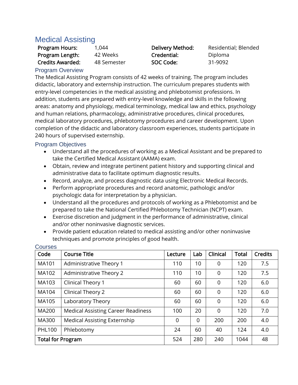## Medical Assisting

| Program Hours:      | 1,044       | Delivery Method: | Residential; Blended |
|---------------------|-------------|------------------|----------------------|
| Program Length:     | 42 Weeks    | Credential:      | Diploma              |
| Credits Awarded:    | 48 Semester | SOC Code:        | 31-9092              |
| $l$ rogram Ovoniour |             |                  |                      |

### Program Overview

The Medical Assisting Program consists of 42 weeks of training. The program includes didactic, laboratory and externship instruction. The curriculum prepares students with entry-level competencies in the medical assisting and phlebotomist professions. In addition, students are prepared with entry-level knowledge and skills in the following areas: anatomy and physiology, medical terminology, medical law and ethics, psychology and human relations, pharmacology, administrative procedures, clinical procedures, medical laboratory procedures, phlebotomy procedures and career development. Upon completion of the didactic and laboratory classroom experiences, students participate in 240 hours of supervised externship.

### Program Objectives

- Understand all the procedures of working as a Medical Assistant and be prepared to take the Certified Medical Assistant (AAMA) exam.
- Obtain, review and integrate pertinent patient history and supporting clinical and administrative data to facilitate optimum diagnostic results.
- Record, analyze, and process diagnostic data using Electronic Medical Records.
- Perform appropriate procedures and record anatomic, pathologic and/or psychologic data for interpretation by a physician.
- Understand all the procedures and protocols of working as a Phlebotomist and be prepared to take the National Certified Phlebotomy Technician (NCPT) exam.
- Exercise discretion and judgment in the performance of administrative, clinical and/or other noninvasive diagnostic services.
- Provide patient education related to medical assisting and/or other noninvasive techniques and promote principles of good health.

| Code                     | <b>Course Title</b>                       | Lecture | Lab      | Clinical       | <b>Total</b> | <b>Credits</b> |
|--------------------------|-------------------------------------------|---------|----------|----------------|--------------|----------------|
| MA101                    | Administrative Theory 1                   | 110     | 10       | 0              | 120          | 7.5            |
| MA102                    | Administrative Theory 2                   | 110     | 10       | 0              | 120          | 7.5            |
| MA103                    | Clinical Theory 1                         | 60      | 60       | $\overline{0}$ | 120          | 6.0            |
| MA104                    | Clinical Theory 2                         | 60      | 60       | $\overline{0}$ | 120          | 6.0            |
| MA105                    | Laboratory Theory                         | 60      | 60       | 0              | 120          | 6.0            |
| <b>MA200</b>             | <b>Medical Assisting Career Readiness</b> | 100     | 20       | $\overline{0}$ | 120          | 7.0            |
| MA300                    | <b>Medical Assisting Externship</b>       | 0       | $\Omega$ | 200            | 200          | 4.0            |
| <b>PHL100</b>            | Phlebotomy                                | 24      | 60       | 40             | 124          | 4.0            |
| <b>Total for Program</b> |                                           | 524     | 280      | 240            | 1044         | 48             |

#### Courses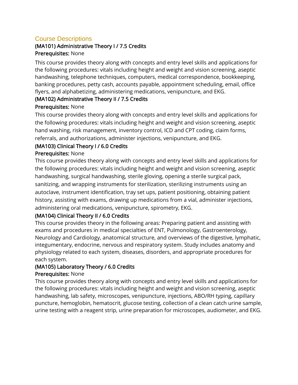## Course Descriptions

## (MA101) Administrative Theory I / 7.5 Credits Prerequisites: None

This course provides theory along with concepts and entry level skills and applications for the following procedures: vitals including height and weight and vision screening, aseptic handwashing, telephone techniques, computers, medical correspondence, bookkeeping, banking procedures, petty cash, accounts payable, appointment scheduling, email, office flyers, and alphabetizing, administering medications, venipuncture, and EKG.

## (MA102) Administrative Theory II / 7.5 Credits

### Prerequisites: None

This course provides theory along with concepts and entry level skills and applications for the following procedures: vitals including height and weight and vision screening, aseptic hand washing, risk management, inventory control, ICD and CPT coding, claim forms, referrals, and authorizations, administer injections, venipuncture, and EKG.

## (MA103) Clinical Theory I / 6.0 Credits

### Prerequisites: None

This course provides theory along with concepts and entry level skills and applications for the following procedures: vitals including height and weight and vision screening, aseptic handwashing, surgical handwashing, sterile gloving, opening a sterile surgical pack, sanitizing, and wrapping instruments for sterilization, sterilizing instruments using an autoclave, instrument identification, tray set ups, patient positioning, obtaining patient history, assisting with exams, drawing up medications from a vial, administer injections, administering oral medications, venipuncture, spirometry, EKG.

### (MA104) Clinical Theory II / 6.0 Credits

This course provides theory in the following areas: Preparing patient and assisting with exams and procedures in medical specialties of ENT, Pulmonology, Gastroenterology, Neurology and Cardiology, anatomical structure, and overviews of the digestive, lymphatic, integumentary, endocrine, nervous and respiratory system. Study includes anatomy and physiology related to each system, diseases, disorders, and appropriate procedures for each system.

## (MA105) Laboratory Theory / 6.0 Credits

### Prerequisites: None

This course provides theory along with concepts and entry level skills and applications for the following procedures: vitals including height and weight and vision screening, aseptic handwashing, lab safety, microscopes, venipuncture, injections, ABO/RH typing, capillary puncture, hemoglobin, hematocrit, glucose testing, collection of a clean catch urine sample, urine testing with a reagent strip, urine preparation for microscopes, audiometer, and EKG.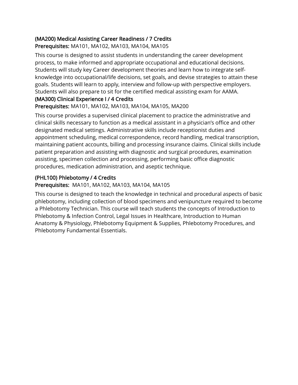## (MA200) Medical Assisting Career Readiness / 7 Credits

Prerequisites: MA101, MA102, MA103, MA104, MA105

This course is designed to assist students in understanding the career development process, to make informed and appropriate occupational and educational decisions. Students will study key Career development theories and learn how to integrate selfknowledge into occupational/life decisions, set goals, and devise strategies to attain these goals. Students will learn to apply, interview and follow-up with perspective employers. Students will also prepare to sit for the certified medical assisting exam for AAMA.

## (MA300) Clinical Experience I / 4 Credits

Prerequisites: MA101, MA102, MA103, MA104, MA105, MA200

This course provides a supervised clinical placement to practice the administrative and clinical skills necessary to function as a medical assistant in a physician's office and other designated medical settings. Administrative skills include receptionist duties and appointment scheduling, medical correspondence, record handling, medical transcription, maintaining patient accounts, billing and processing insurance claims. Clinical skills include patient preparation and assisting with diagnostic and surgical procedures, examination assisting, specimen collection and processing, performing basic office diagnostic procedures, medication administration, and aseptic technique.

## (PHL100) Phlebotomy / 4 Credits

## Prerequisites: MA101, MA102, MA103, MA104, MA105

This course is designed to teach the knowledge in technical and procedural aspects of basic phlebotomy, including collection of blood specimens and venipuncture required to become a Phlebotomy Technician. This course will teach students the concepts of Introduction to Phlebotomy & Infection Control, Legal Issues in Healthcare, Introduction to Human Anatomy & Physiology, Phlebotomy Equipment & Supplies, Phlebotomy Procedures, and Phlebotomy Fundamental Essentials.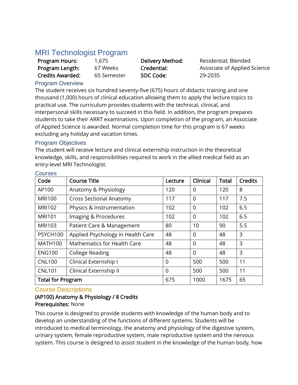## MRI Technologist Program

| Program Hours:          |
|-------------------------|
| Program Length:         |
| <b>Credits Awarded:</b> |

65 Semester **SOC Code:** 29-2035

1,675 **Delivery Method:** Residential; Blended 67 Weeks **Credential:** Associate of Applied Science

## Program Overview

The student receives six hundred seventy-five (675) hours of didactic training and one thousand (1,000) hours of clinical education allowing them to apply the lecture topics to practical use. The curriculum provides students with the technical, clinical, and interpersonal skills necessary to succeed in this field. In addition, the program prepares students to take their ARRT examinations. Upon completion of the program, an Associate of Applied Science is awarded. Normal completion time for this program is 67 weeks excluding any holiday and vacation times.

## Program Objectives

The student will receive lecture and clinical externship instruction in the theoretical knowledge, skills, and responsibilities required to work in the allied medical field as an entry-level MRI Technologist.

| Code                     | <b>Course Title</b>                | Lecture | Clinical       | <b>Total</b> | <b>Credits</b> |
|--------------------------|------------------------------------|---------|----------------|--------------|----------------|
| AP100                    | Anatomy & Physiology               | 120     | 0              | 120          | 8              |
| <b>MRI100</b>            | <b>Cross Sectional Anatomy</b>     | 117     | 0              | 117          | 7.5            |
| <b>MRI102</b>            | Physics & Instrumentation          | 102     | $\overline{0}$ | 102          | 6.5            |
| <b>MRI101</b>            | Imaging & Procedures               | 102     | 0              | 102          | 6.5            |
| <b>MRI103</b>            | Patient Care & Management          | 80      | 10             | 90           | 5.5            |
| PSYCH100                 | Applied Psychology in Health Care  | 48      | 0              | 48           | 3              |
| <b>MATH100</b>           | <b>Mathematics for Health Care</b> | 48      | 0              | 48           | 3              |
| <b>ENG100</b>            | <b>College Reading</b>             | 48      | 0              | 48           | 3              |
| <b>CNL100</b>            | Clinical Externship I              | 0       | 500            | 500          | 11             |
| <b>CNL101</b>            | Clinical Externship II             | 0       | 500            | 500          | 11             |
| <b>Total for Program</b> |                                    | 675     | 1000           | 1675         | 65             |

## **Courses**

## Course Descriptions

### (AP100) Anatomy & Physiology / 8 Credits Prerequisites: None

This course is designed to provide students with knowledge of the human body and to develop an understanding of the functions of different systems. Students will be introduced to medical terminology, the anatomy and physiology of the digestive system, urinary system, female reproductive system, male reproductive system and the nervous system. This course is designed to assist student in the knowledge of the human body, how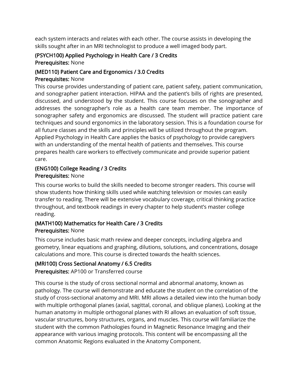each system interacts and relates with each other. The course assists in developing the skills sought after in an MRI technologist to produce a well imaged body part.

### (PSYCH100) Applied Psychology in Health Care / 3 Credits Prerequisites: None

## (MED110) Patient Care and Ergonomics / 3.0 Credits

### Prerequisites: None

This course provides understanding of patient care, patient safety, patient communication, and sonographer patient interaction. HIPAA and the patient's bills of rights are presented, discussed, and understood by the student. This course focuses on the sonographer and addresses the sonographer's role as a health care team member. The importance of sonographer safety and ergonomics are discussed. The student will practice patient care techniques and sound ergonomics in the laboratory session. This is a foundation course for all future classes and the skills and principles will be utilized throughout the program. Applied Psychology in Health Care applies the basics of psychology to provide caregivers with an understanding of the mental health of patients and themselves. This course prepares health care workers to effectively communicate and provide superior patient care.

#### (ENG100) College Reading / 3 Credits Prerequisites: None

This course works to build the skills needed to become stronger readers. This course will show students how thinking skills used while watching television or movies can easily transfer to reading. There will be extensive vocabulary coverage, critical thinking practice throughout, and textbook readings in every chapter to help student's master college reading.

### (MATH100) Mathematics for Health Care / 3 Credits Prerequisites: None

This course includes basic math review and deeper concepts, including algebra and geometry, linear equations and graphing, dilutions, solutions, and concentrations, dosage calculations and more. This course is directed towards the health sciences.

## (MRI100) Cross Sectional Anatomy / 6.5 Credits

Prerequisites: AP100 or Transferred course

This course is the study of cross sectional normal and abnormal anatomy, known as pathology. The course will demonstrate and educate the student on the correlation of the study of cross-sectional anatomy and MRI. MRI allows a detailed view into the human body with multiple orthogonal planes (axial, sagittal, coronal, and oblique planes). Looking at the human anatomy in multiple orthogonal planes with RI allows an evaluation of soft tissue, vascular structures, bony structures, organs, and muscles. This course will familiarize the student with the common Pathologies found in Magnetic Resonance Imaging and their appearance with various imaging protocols. This content will be encompassing all the common Anatomic Regions evaluated in the Anatomy Component.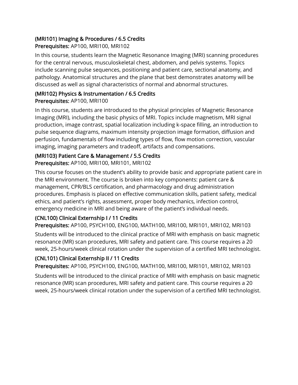#### (MRI101) Imaging & Procedures / 6.5 Credits Prerequisites: AP100, MRI100, MRI102

In this course, students learn the Magnetic Resonance Imaging (MRI) scanning procedures for the central nervous, musculoskeletal chest, abdomen, and pelvis systems. Topics include scanning pulse sequences, positioning and patient care, sectional anatomy, and pathology. Anatomical structures and the plane that best demonstrates anatomy will be discussed as well as signal characteristics of normal and abnormal structures.

### (MRI102) Physics & Instrumentation / 6.5 Credits Prerequisites: AP100, MRI100

In this course, students are introduced to the physical principles of Magnetic Resonance Imaging (MRI), including the basic physics of MRI. Topics include magnetism, MRI signal production, image contrast, spatial localization including k-space filling, an introduction to pulse sequence diagrams, maximum intensity projection image formation, diffusion and perfusion, fundamentals of flow including types of flow, flow motion correction, vascular imaging, imaging parameters and tradeoff, artifacts and compensations.

## (MRI103) Patient Care & Management / 5.5 Credits

Prerequisites: AP100, MRI100, MRI101, MRI102

This course focuses on the student's ability to provide basic and appropriate patient care in the MRI environment. The course is broken into key components: patient care & management, CPR/BLS certification, and pharmacology and drug administration procedures. Emphasis is placed on effective communication skills, patient safety, medical ethics, and patient's rights, assessment, proper body mechanics, infection control, emergency medicine in MRI and being aware of the patient's individual needs.

## (CNL100) Clinical Externship I / 11 Credits

Prerequisites: AP100, PSYCH100, ENG100, MATH100, MRI100, MRI101, MRI102, MRI103 Students will be introduced to the clinical practice of MRI with emphasis on basic magnetic resonance (MR) scan procedures, MRI safety and patient care. This course requires a 20 week, 25-hours/week clinical rotation under the supervision of a certified MRI technologist.

## (CNL101) Clinical Externship II / 11 Credits

Prerequisites: AP100, PSYCH100, ENG100, MATH100, MRI100, MRI101, MRI102, MRI103

Students will be introduced to the clinical practice of MRI with emphasis on basic magnetic resonance (MR) scan procedures, MRI safety and patient care. This course requires a 20 week, 25-hours/week clinical rotation under the supervision of a certified MRI technologist.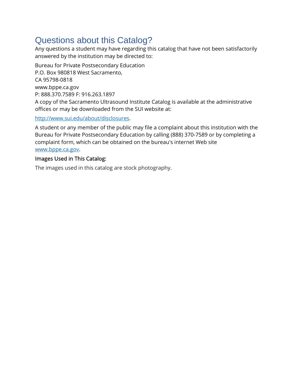# Questions about this Catalog?

Any questions a student may have regarding this catalog that have not been satisfactorily answered by the institution may be directed to:

Bureau for Private Postsecondary Education P.O. Box 980818 West Sacramento, CA 95798-0818 www.bppe.ca.gov P: 888.370.7589 F: 916.263.1897 A copy of the Sacramento Ultrasound Institute Catalog is available at the administrative offices or may be downloaded from the SUI website at:

### [http://www.sui.edu/about/disclosures.](http://www.sui.edu/about/disclosures)

A student or any member of the public may file a complaint about this institution with the Bureau for Private Postsecondary Education by calling (888) 370-7589 or by completing a complaint form, which can be obtained on the bureau's internet Web site [www.bppe.ca.gov.](http://www.bppe.ca.gov/)

### Images Used in This Catalog:

The images used in this catalog are stock photography.